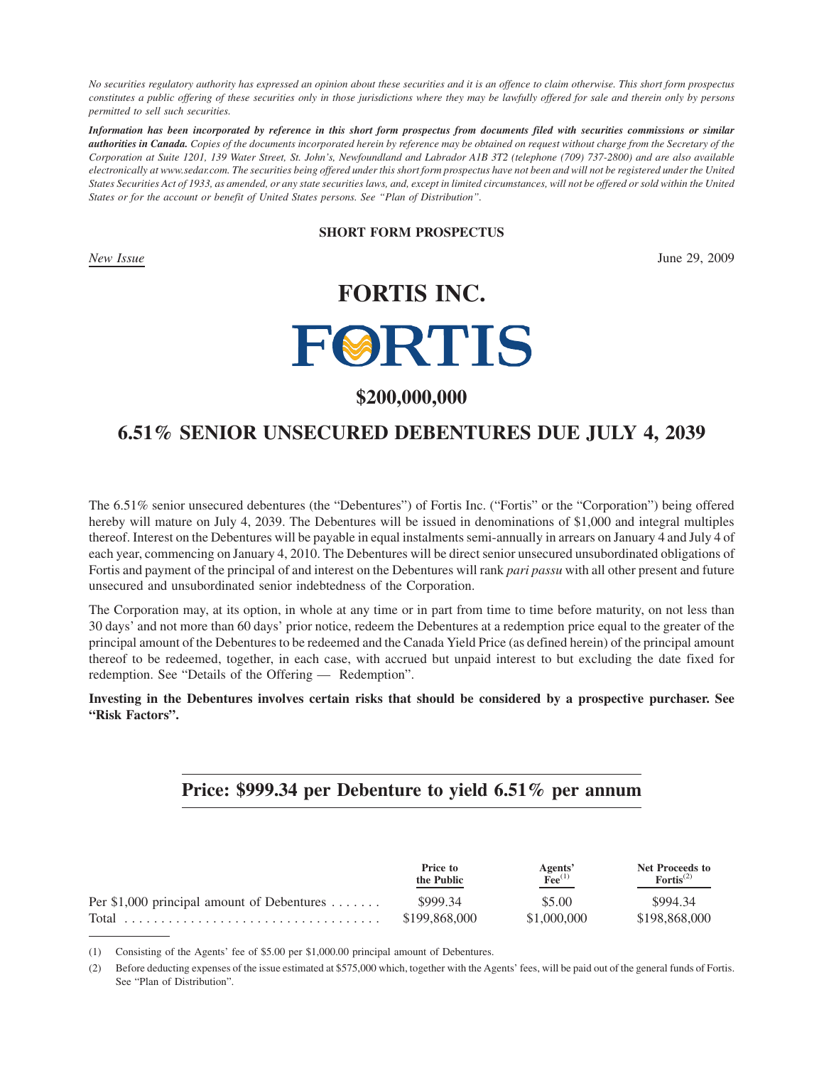*No securities regulatory authority has expressed an opinion about these securities and it is an offence to claim otherwise. This short form prospectus constitutes a public offering of these securities only in those jurisdictions where they may be lawfully offered for sale and therein only by persons permitted to sell such securities.*

*Information has been incorporated by reference in this short form prospectus from documents filed with securities commissions or similar authorities in Canada. Copies of the documents incorporated herein by reference may be obtained on request without charge from the Secretary of the Corporation at Suite 1201, 139 Water Street, St. John's, Newfoundland and Labrador A1B 3T2 (telephone (709) 737-2800) and are also available electronically at www.sedar.com. The securities being offered under this short form prospectus have not been and will not be registered under the United States Securities Act of 1933, as amended, or any state securities laws, and, except in limited circumstances, will not be offered or sold within the United States or for the account or benefit of United States persons. See "Plan of Distribution".*

#### **SHORT FORM PROSPECTUS**

*New Issue* June 29, 2009

## **FORTIS INC.**

# **FØRTIS**

## **\$200,000,000**

## **6.51% SENIOR UNSECURED DEBENTURES DUE JULY 4, 2039**

The 6.51% senior unsecured debentures (the "Debentures") of Fortis Inc. ("Fortis" or the "Corporation") being offered hereby will mature on July 4, 2039. The Debentures will be issued in denominations of \$1,000 and integral multiples thereof. Interest on the Debentures will be payable in equal instalments semi-annually in arrears on January 4 and July 4 of each year, commencing on January 4, 2010. The Debentures will be direct senior unsecured unsubordinated obligations of Fortis and payment of the principal of and interest on the Debentures will rank *pari passu* with all other present and future unsecured and unsubordinated senior indebtedness of the Corporation.

The Corporation may, at its option, in whole at any time or in part from time to time before maturity, on not less than 30 days' and not more than 60 days' prior notice, redeem the Debentures at a redemption price equal to the greater of the principal amount of the Debentures to be redeemed and the Canada Yield Price (as defined herein) of the principal amount thereof to be redeemed, together, in each case, with accrued but unpaid interest to but excluding the date fixed for redemption. See "Details of the Offering — Redemption".

**Investing in the Debentures involves certain risks that should be considered by a prospective purchaser. See "Risk Factors".**

### **Price: \$999.34 per Debenture to yield 6.51% per annum**

|                                            | Price to<br>the Public | Agents'<br>$\widetilde{^}$ Fee $^{(1)}$ | <b>Net Proceeds to</b><br>$For$ tis <sup>(2)</sup> |
|--------------------------------------------|------------------------|-----------------------------------------|----------------------------------------------------|
| Per \$1,000 principal amount of Debentures | \$999.34               | \$5.00                                  | \$994.34                                           |
|                                            | \$199,868,000          | \$1,000,000                             | \$198,868,000                                      |

(1) Consisting of the Agents' fee of \$5.00 per \$1,000.00 principal amount of Debentures.

(2) Before deducting expenses of the issue estimated at \$575,000 which, together with the Agents' fees, will be paid out of the general funds of Fortis. See "Plan of Distribution".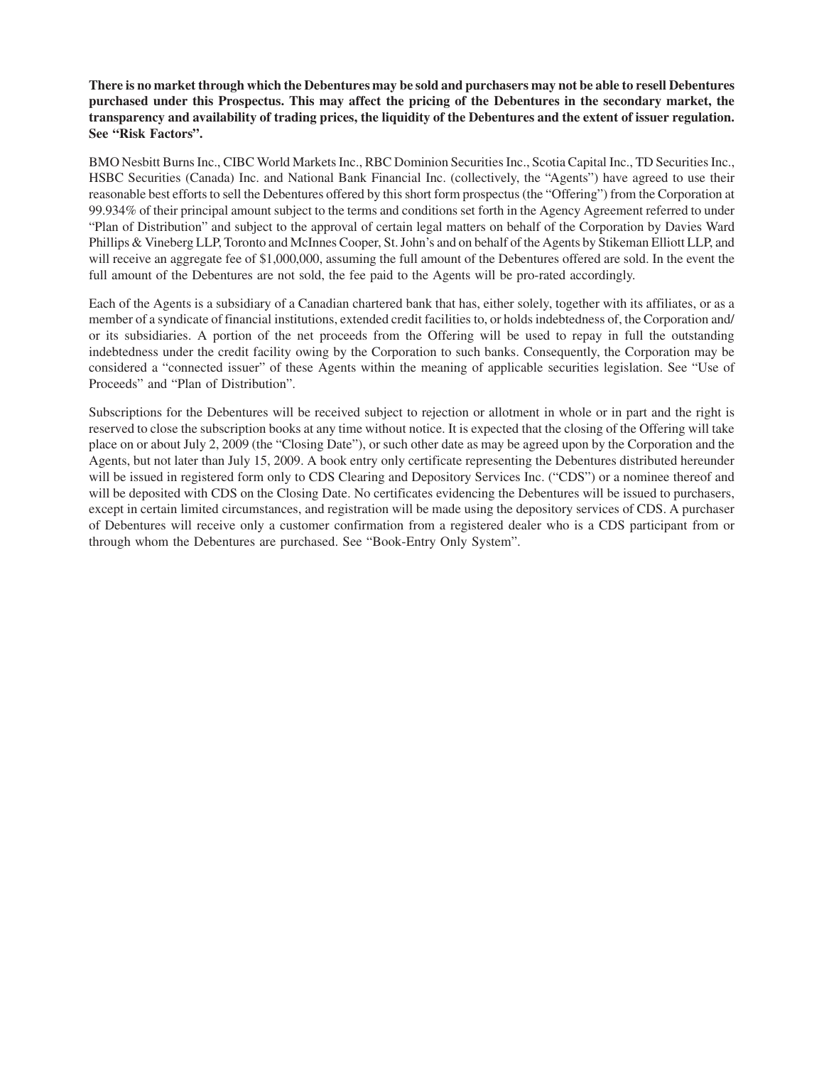**There is no market through which the Debentures may be sold and purchasers may not be able to resell Debentures purchased under this Prospectus. This may affect the pricing of the Debentures in the secondary market, the transparency and availability of trading prices, the liquidity of the Debentures and the extent of issuer regulation. See "Risk Factors".**

BMO Nesbitt Burns Inc., CIBC World Markets Inc., RBC Dominion Securities Inc., Scotia Capital Inc., TD Securities Inc., HSBC Securities (Canada) Inc. and National Bank Financial Inc. (collectively, the "Agents") have agreed to use their reasonable best efforts to sell the Debentures offered by this short form prospectus (the "Offering") from the Corporation at 99.934% of their principal amount subject to the terms and conditions set forth in the Agency Agreement referred to under "Plan of Distribution" and subject to the approval of certain legal matters on behalf of the Corporation by Davies Ward Phillips & Vineberg LLP, Toronto and McInnes Cooper, St. John's and on behalf of the Agents by Stikeman Elliott LLP, and will receive an aggregate fee of \$1,000,000, assuming the full amount of the Debentures offered are sold. In the event the full amount of the Debentures are not sold, the fee paid to the Agents will be pro-rated accordingly.

Each of the Agents is a subsidiary of a Canadian chartered bank that has, either solely, together with its affiliates, or as a member of a syndicate of financial institutions, extended credit facilities to, or holds indebtedness of, the Corporation and/ or its subsidiaries. A portion of the net proceeds from the Offering will be used to repay in full the outstanding indebtedness under the credit facility owing by the Corporation to such banks. Consequently, the Corporation may be considered a "connected issuer" of these Agents within the meaning of applicable securities legislation. See "Use of Proceeds" and "Plan of Distribution".

Subscriptions for the Debentures will be received subject to rejection or allotment in whole or in part and the right is reserved to close the subscription books at any time without notice. It is expected that the closing of the Offering will take place on or about July 2, 2009 (the "Closing Date"), or such other date as may be agreed upon by the Corporation and the Agents, but not later than July 15, 2009. A book entry only certificate representing the Debentures distributed hereunder will be issued in registered form only to CDS Clearing and Depository Services Inc. ("CDS") or a nominee thereof and will be deposited with CDS on the Closing Date. No certificates evidencing the Debentures will be issued to purchasers, except in certain limited circumstances, and registration will be made using the depository services of CDS. A purchaser of Debentures will receive only a customer confirmation from a registered dealer who is a CDS participant from or through whom the Debentures are purchased. See "Book-Entry Only System".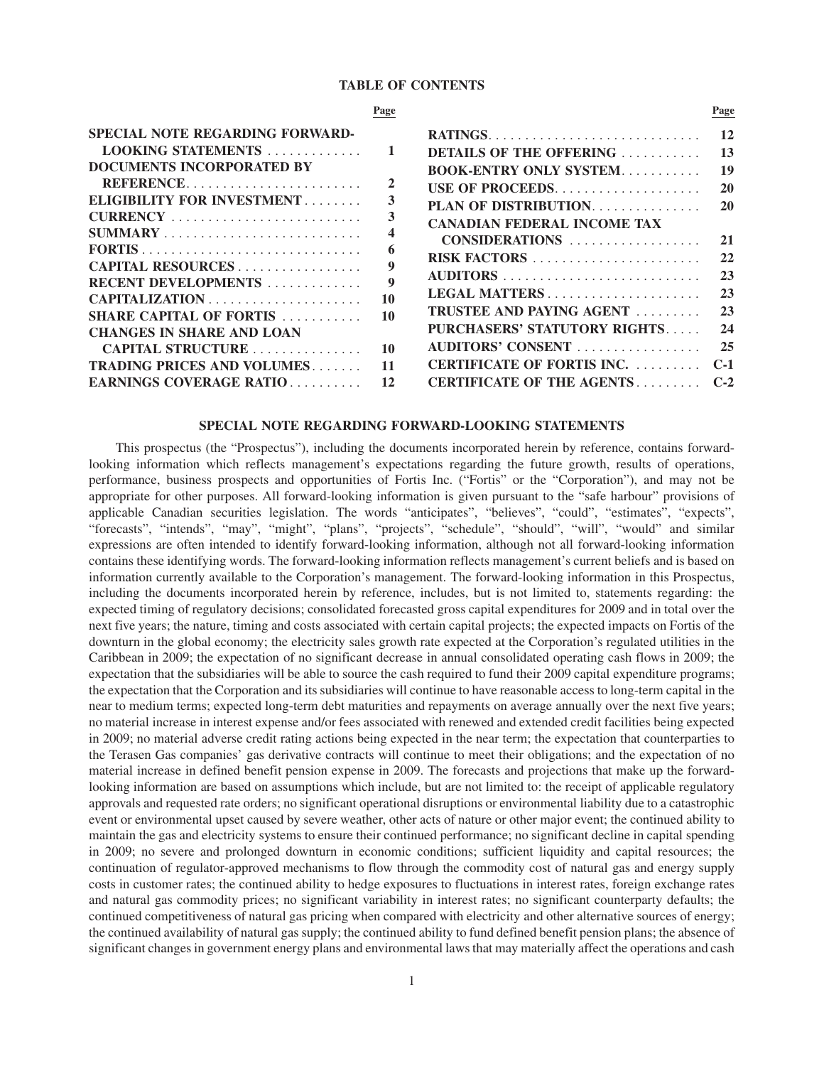#### **TABLE OF CONTENTS**

#### **Page SPECIAL NOTE REGARDING FORWARD-LOOKING STATEMENTS** ............. **1 DOCUMENTS INCORPORATED BY REFERENCE**........................ **2 ELIGIBILITY FOR INVESTMENT** ........ **3 CURRENCY** .......................... **3 SUMMARY** ........................... **4 FORTIS** .............................. **6 CAPITAL RESOURCES** ................. **9 RECENT DEVELOPMENTS** ............. **9 CAPITALIZATION** ..................... **10 SHARE CAPITAL OF FORTIS** ........... **10 CHANGES IN SHARE AND LOAN CAPITAL STRUCTURE** ............... **10 TRADING PRICES AND VOLUMES**....... **11 EARNINGS COVERAGE RATIO** .......... **12 Page RATINGS**............................. **12 DETAILS OF THE OFFERING** ........... **13 BOOK-ENTRY ONLY SYSTEM**........... **19 USE OF PROCEEDS**.................... **20 PLAN OF DISTRIBUTION**............... **20 CANADIAN FEDERAL INCOME TAX CONSIDERATIONS** .................. **21 RISK FACTORS** ....................... **22 AUDITORS** ........................... **23 LEGAL MATTERS** ..................... **23 TRUSTEE AND PAYING AGENT** ......... **23 PURCHASERS' STATUTORY RIGHTS**..... **24 AUDITORS' CONSENT** ................. **25 CERTIFICATE OF FORTIS INC.** ......... **C-1 CERTIFICATE OF THE AGENTS** ......... **C-2**

#### **SPECIAL NOTE REGARDING FORWARD-LOOKING STATEMENTS**

This prospectus (the "Prospectus"), including the documents incorporated herein by reference, contains forwardlooking information which reflects management's expectations regarding the future growth, results of operations, performance, business prospects and opportunities of Fortis Inc. ("Fortis" or the "Corporation"), and may not be appropriate for other purposes. All forward-looking information is given pursuant to the "safe harbour" provisions of applicable Canadian securities legislation. The words "anticipates", "believes", "could", "estimates", "expects", "forecasts", "intends", "may", "might", "plans", "projects", "schedule", "should", "will", "would" and similar expressions are often intended to identify forward-looking information, although not all forward-looking information contains these identifying words. The forward-looking information reflects management's current beliefs and is based on information currently available to the Corporation's management. The forward-looking information in this Prospectus, including the documents incorporated herein by reference, includes, but is not limited to, statements regarding: the expected timing of regulatory decisions; consolidated forecasted gross capital expenditures for 2009 and in total over the next five years; the nature, timing and costs associated with certain capital projects; the expected impacts on Fortis of the downturn in the global economy; the electricity sales growth rate expected at the Corporation's regulated utilities in the Caribbean in 2009; the expectation of no significant decrease in annual consolidated operating cash flows in 2009; the expectation that the subsidiaries will be able to source the cash required to fund their 2009 capital expenditure programs; the expectation that the Corporation and its subsidiaries will continue to have reasonable access to long-term capital in the near to medium terms; expected long-term debt maturities and repayments on average annually over the next five years; no material increase in interest expense and/or fees associated with renewed and extended credit facilities being expected in 2009; no material adverse credit rating actions being expected in the near term; the expectation that counterparties to the Terasen Gas companies' gas derivative contracts will continue to meet their obligations; and the expectation of no material increase in defined benefit pension expense in 2009. The forecasts and projections that make up the forwardlooking information are based on assumptions which include, but are not limited to: the receipt of applicable regulatory approvals and requested rate orders; no significant operational disruptions or environmental liability due to a catastrophic event or environmental upset caused by severe weather, other acts of nature or other major event; the continued ability to maintain the gas and electricity systems to ensure their continued performance; no significant decline in capital spending in 2009; no severe and prolonged downturn in economic conditions; sufficient liquidity and capital resources; the continuation of regulator-approved mechanisms to flow through the commodity cost of natural gas and energy supply costs in customer rates; the continued ability to hedge exposures to fluctuations in interest rates, foreign exchange rates and natural gas commodity prices; no significant variability in interest rates; no significant counterparty defaults; the continued competitiveness of natural gas pricing when compared with electricity and other alternative sources of energy; the continued availability of natural gas supply; the continued ability to fund defined benefit pension plans; the absence of significant changes in government energy plans and environmental laws that may materially affect the operations and cash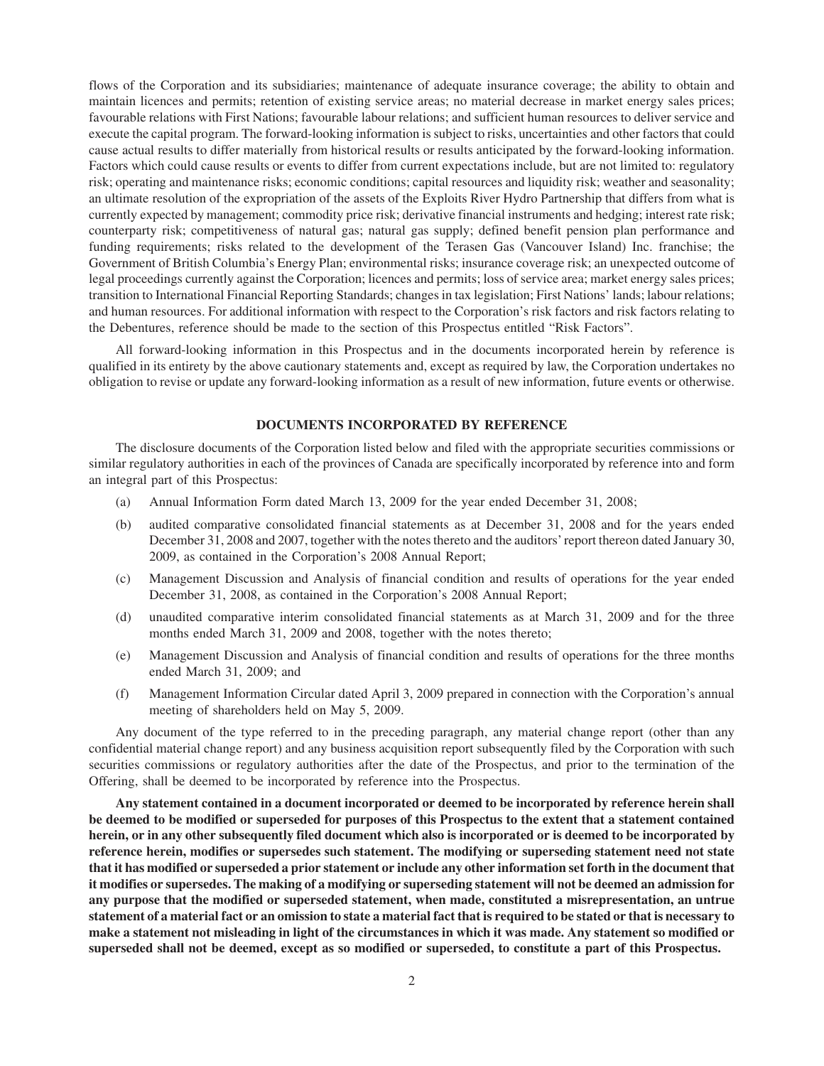flows of the Corporation and its subsidiaries; maintenance of adequate insurance coverage; the ability to obtain and maintain licences and permits; retention of existing service areas; no material decrease in market energy sales prices; favourable relations with First Nations; favourable labour relations; and sufficient human resources to deliver service and execute the capital program. The forward-looking information is subject to risks, uncertainties and other factors that could cause actual results to differ materially from historical results or results anticipated by the forward-looking information. Factors which could cause results or events to differ from current expectations include, but are not limited to: regulatory risk; operating and maintenance risks; economic conditions; capital resources and liquidity risk; weather and seasonality; an ultimate resolution of the expropriation of the assets of the Exploits River Hydro Partnership that differs from what is currently expected by management; commodity price risk; derivative financial instruments and hedging; interest rate risk; counterparty risk; competitiveness of natural gas; natural gas supply; defined benefit pension plan performance and funding requirements; risks related to the development of the Terasen Gas (Vancouver Island) Inc. franchise; the Government of British Columbia's Energy Plan; environmental risks; insurance coverage risk; an unexpected outcome of legal proceedings currently against the Corporation; licences and permits; loss of service area; market energy sales prices; transition to International Financial Reporting Standards; changes in tax legislation; First Nations' lands; labour relations; and human resources. For additional information with respect to the Corporation's risk factors and risk factors relating to the Debentures, reference should be made to the section of this Prospectus entitled "Risk Factors".

All forward-looking information in this Prospectus and in the documents incorporated herein by reference is qualified in its entirety by the above cautionary statements and, except as required by law, the Corporation undertakes no obligation to revise or update any forward-looking information as a result of new information, future events or otherwise.

#### **DOCUMENTS INCORPORATED BY REFERENCE**

The disclosure documents of the Corporation listed below and filed with the appropriate securities commissions or similar regulatory authorities in each of the provinces of Canada are specifically incorporated by reference into and form an integral part of this Prospectus:

- (a) Annual Information Form dated March 13, 2009 for the year ended December 31, 2008;
- (b) audited comparative consolidated financial statements as at December 31, 2008 and for the years ended December 31, 2008 and 2007, together with the notes thereto and the auditors' report thereon dated January 30, 2009, as contained in the Corporation's 2008 Annual Report;
- (c) Management Discussion and Analysis of financial condition and results of operations for the year ended December 31, 2008, as contained in the Corporation's 2008 Annual Report;
- (d) unaudited comparative interim consolidated financial statements as at March 31, 2009 and for the three months ended March 31, 2009 and 2008, together with the notes thereto;
- (e) Management Discussion and Analysis of financial condition and results of operations for the three months ended March 31, 2009; and
- (f) Management Information Circular dated April 3, 2009 prepared in connection with the Corporation's annual meeting of shareholders held on May 5, 2009.

Any document of the type referred to in the preceding paragraph, any material change report (other than any confidential material change report) and any business acquisition report subsequently filed by the Corporation with such securities commissions or regulatory authorities after the date of the Prospectus, and prior to the termination of the Offering, shall be deemed to be incorporated by reference into the Prospectus.

**Any statement contained in a document incorporated or deemed to be incorporated by reference herein shall be deemed to be modified or superseded for purposes of this Prospectus to the extent that a statement contained herein, or in any other subsequently filed document which also is incorporated or is deemed to be incorporated by reference herein, modifies or supersedes such statement. The modifying or superseding statement need not state that it has modified or superseded a prior statement or include any other information set forth in the document that it modifies or supersedes. The making of a modifying or superseding statement will not be deemed an admission for any purpose that the modified or superseded statement, when made, constituted a misrepresentation, an untrue statement of a material fact or an omission to state a material fact that is required to be stated or that is necessary to make a statement not misleading in light of the circumstances in which it was made. Any statement so modified or superseded shall not be deemed, except as so modified or superseded, to constitute a part of this Prospectus.**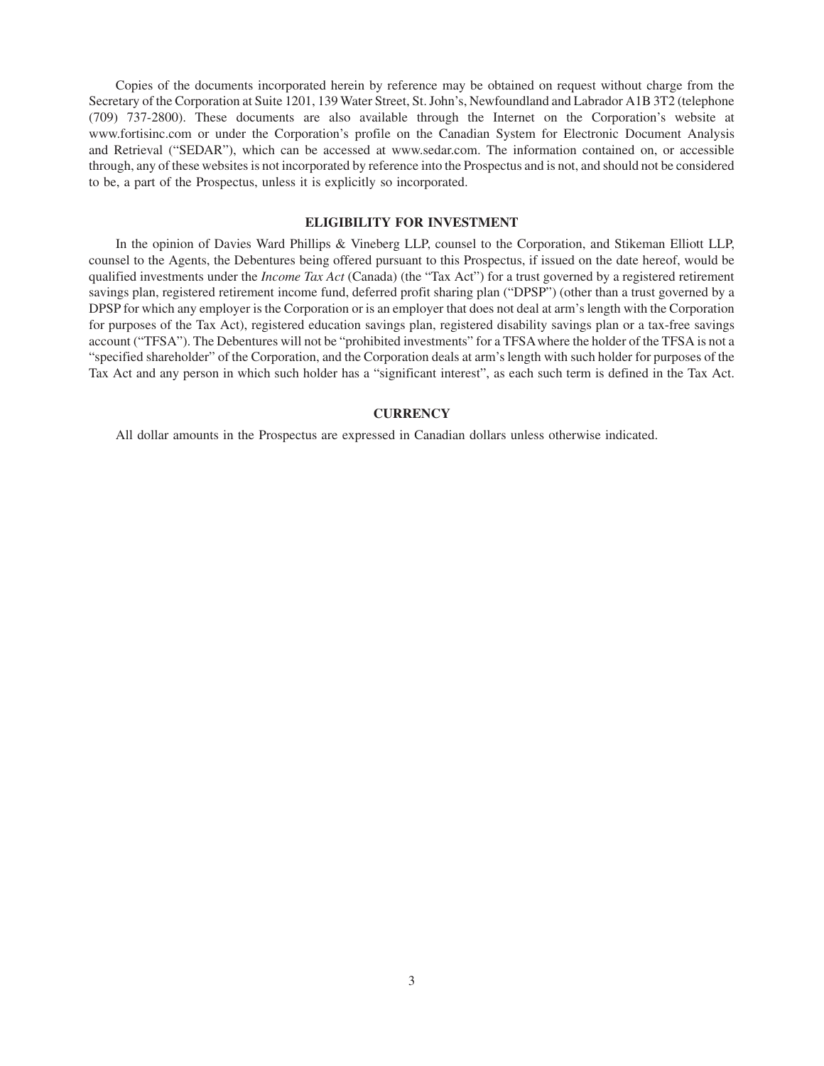Copies of the documents incorporated herein by reference may be obtained on request without charge from the Secretary of the Corporation at Suite 1201, 139 Water Street, St. John's, Newfoundland and Labrador A1B 3T2 (telephone (709) 737-2800). These documents are also available through the Internet on the Corporation's website at www.fortisinc.com or under the Corporation's profile on the Canadian System for Electronic Document Analysis and Retrieval ("SEDAR"), which can be accessed at www.sedar.com. The information contained on, or accessible through, any of these websites is not incorporated by reference into the Prospectus and is not, and should not be considered to be, a part of the Prospectus, unless it is explicitly so incorporated.

#### **ELIGIBILITY FOR INVESTMENT**

In the opinion of Davies Ward Phillips & Vineberg LLP, counsel to the Corporation, and Stikeman Elliott LLP, counsel to the Agents, the Debentures being offered pursuant to this Prospectus, if issued on the date hereof, would be qualified investments under the *Income Tax Act* (Canada) (the "Tax Act") for a trust governed by a registered retirement savings plan, registered retirement income fund, deferred profit sharing plan ("DPSP") (other than a trust governed by a DPSP for which any employer is the Corporation or is an employer that does not deal at arm's length with the Corporation for purposes of the Tax Act), registered education savings plan, registered disability savings plan or a tax-free savings account ("TFSA"). The Debentures will not be "prohibited investments" for a TFSAwhere the holder of the TFSA is not a "specified shareholder" of the Corporation, and the Corporation deals at arm's length with such holder for purposes of the Tax Act and any person in which such holder has a "significant interest", as each such term is defined in the Tax Act.

#### **CURRENCY**

All dollar amounts in the Prospectus are expressed in Canadian dollars unless otherwise indicated.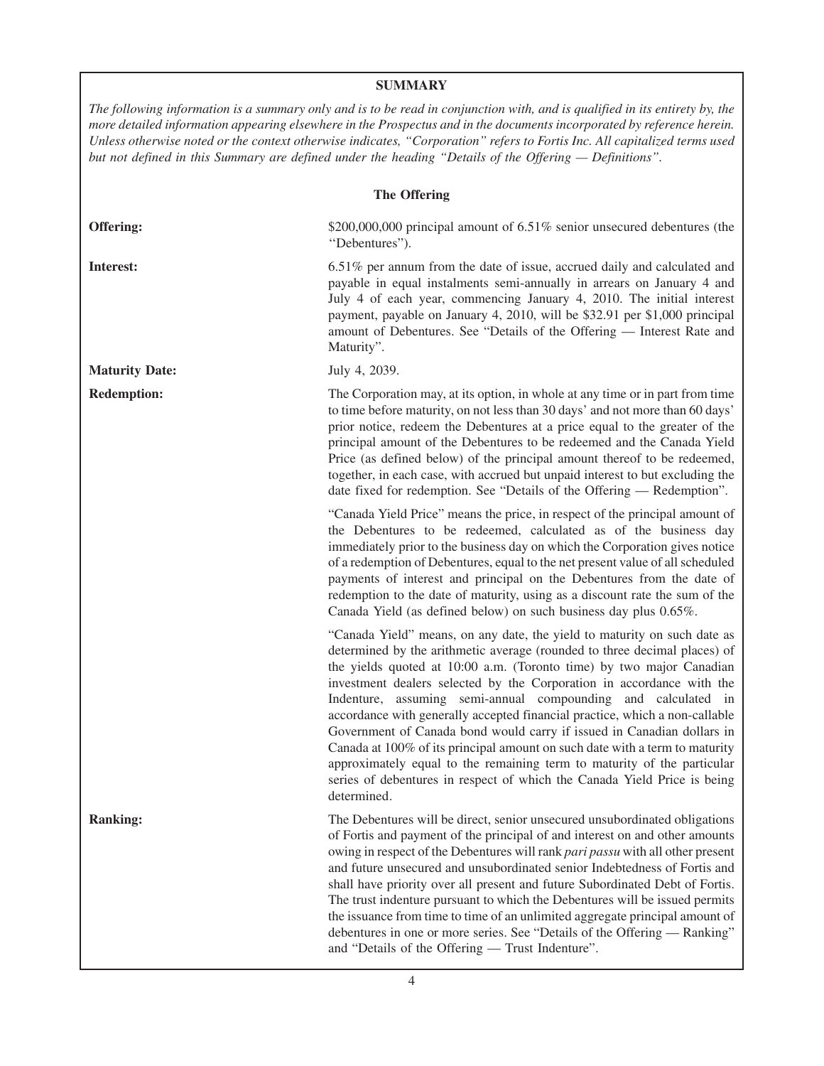#### **SUMMARY**

*The following information is a summary only and is to be read in conjunction with, and is qualified in its entirety by, the more detailed information appearing elsewhere in the Prospectus and in the documents incorporated by reference herein. Unless otherwise noted or the context otherwise indicates, "Corporation" refers to Fortis Inc. All capitalized terms used but not defined in this Summary are defined under the heading "Details of the Offering — Definitions".*

| <b>The Offering</b>   |                                                                                                                                                                                                                                                                                                                                                                                                                                                                                                                                                                                                                                                                                                                                                                                       |  |  |
|-----------------------|---------------------------------------------------------------------------------------------------------------------------------------------------------------------------------------------------------------------------------------------------------------------------------------------------------------------------------------------------------------------------------------------------------------------------------------------------------------------------------------------------------------------------------------------------------------------------------------------------------------------------------------------------------------------------------------------------------------------------------------------------------------------------------------|--|--|
| Offering:             | \$200,000,000 principal amount of 6.51% senior unsecured debentures (the<br>"Debentures").                                                                                                                                                                                                                                                                                                                                                                                                                                                                                                                                                                                                                                                                                            |  |  |
| Interest:             | 6.51% per annum from the date of issue, accrued daily and calculated and<br>payable in equal instalments semi-annually in arrears on January 4 and<br>July 4 of each year, commencing January 4, 2010. The initial interest<br>payment, payable on January 4, 2010, will be \$32.91 per \$1,000 principal<br>amount of Debentures. See "Details of the Offering - Interest Rate and<br>Maturity".                                                                                                                                                                                                                                                                                                                                                                                     |  |  |
| <b>Maturity Date:</b> | July 4, 2039.                                                                                                                                                                                                                                                                                                                                                                                                                                                                                                                                                                                                                                                                                                                                                                         |  |  |
| <b>Redemption:</b>    | The Corporation may, at its option, in whole at any time or in part from time<br>to time before maturity, on not less than 30 days' and not more than 60 days'<br>prior notice, redeem the Debentures at a price equal to the greater of the<br>principal amount of the Debentures to be redeemed and the Canada Yield<br>Price (as defined below) of the principal amount thereof to be redeemed,<br>together, in each case, with accrued but unpaid interest to but excluding the<br>date fixed for redemption. See "Details of the Offering — Redemption".                                                                                                                                                                                                                         |  |  |
|                       | "Canada Yield Price" means the price, in respect of the principal amount of<br>the Debentures to be redeemed, calculated as of the business day<br>immediately prior to the business day on which the Corporation gives notice<br>of a redemption of Debentures, equal to the net present value of all scheduled<br>payments of interest and principal on the Debentures from the date of<br>redemption to the date of maturity, using as a discount rate the sum of the<br>Canada Yield (as defined below) on such business day plus 0.65%.                                                                                                                                                                                                                                          |  |  |
|                       | "Canada Yield" means, on any date, the yield to maturity on such date as<br>determined by the arithmetic average (rounded to three decimal places) of<br>the yields quoted at 10:00 a.m. (Toronto time) by two major Canadian<br>investment dealers selected by the Corporation in accordance with the<br>Indenture, assuming semi-annual compounding and calculated in<br>accordance with generally accepted financial practice, which a non-callable<br>Government of Canada bond would carry if issued in Canadian dollars in<br>Canada at 100% of its principal amount on such date with a term to maturity<br>approximately equal to the remaining term to maturity of the particular<br>series of debentures in respect of which the Canada Yield Price is being<br>determined. |  |  |
| <b>Ranking:</b>       | The Debentures will be direct, senior unsecured unsubordinated obligations<br>of Fortis and payment of the principal of and interest on and other amounts<br>owing in respect of the Debentures will rank pari passu with all other present<br>and future unsecured and unsubordinated senior Indebtedness of Fortis and<br>shall have priority over all present and future Subordinated Debt of Fortis.<br>The trust indenture pursuant to which the Debentures will be issued permits<br>the issuance from time to time of an unlimited aggregate principal amount of<br>debentures in one or more series. See "Details of the Offering — Ranking"<br>and "Details of the Offering — Trust Indenture".                                                                              |  |  |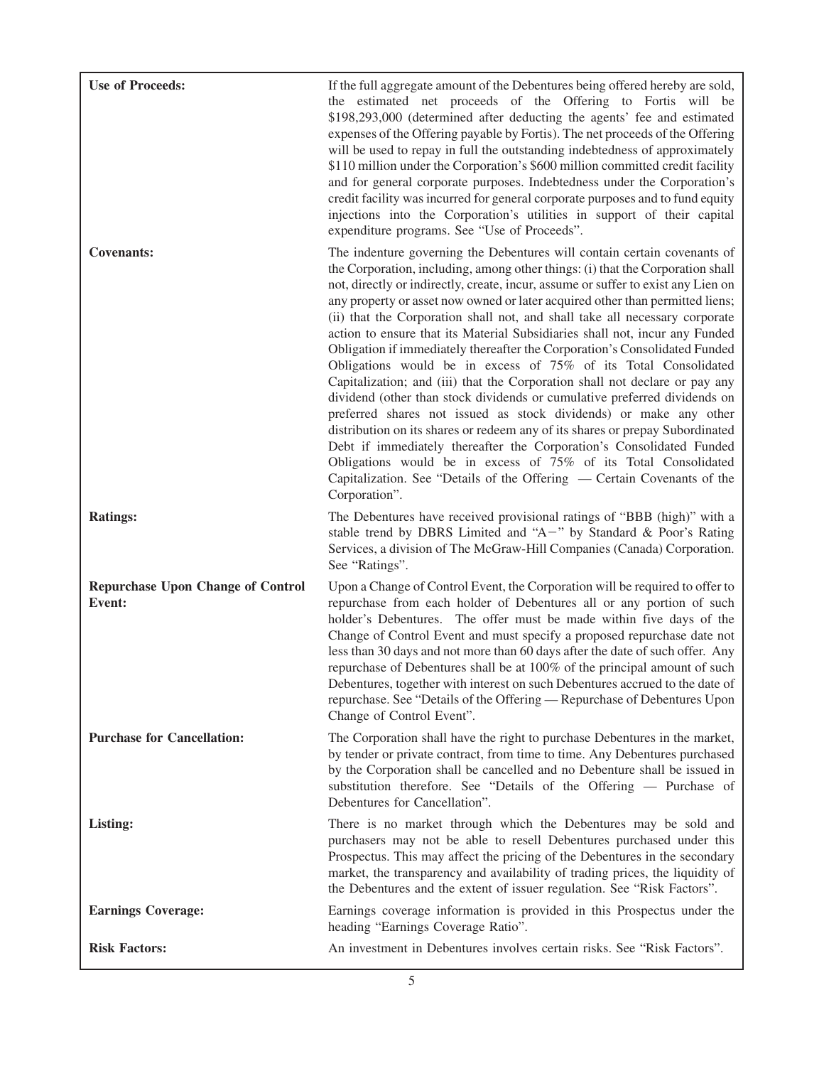| <b>Use of Proceeds:</b>                                   | If the full aggregate amount of the Debentures being offered hereby are sold,<br>the estimated net proceeds of the Offering to Fortis will be<br>\$198,293,000 (determined after deducting the agents' fee and estimated<br>expenses of the Offering payable by Fortis). The net proceeds of the Offering<br>will be used to repay in full the outstanding indebtedness of approximately<br>\$110 million under the Corporation's \$600 million committed credit facility<br>and for general corporate purposes. Indebtedness under the Corporation's<br>credit facility was incurred for general corporate purposes and to fund equity<br>injections into the Corporation's utilities in support of their capital<br>expenditure programs. See "Use of Proceeds".                                                                                                                                                                                                                                                                                                                                                                                                                                       |
|-----------------------------------------------------------|----------------------------------------------------------------------------------------------------------------------------------------------------------------------------------------------------------------------------------------------------------------------------------------------------------------------------------------------------------------------------------------------------------------------------------------------------------------------------------------------------------------------------------------------------------------------------------------------------------------------------------------------------------------------------------------------------------------------------------------------------------------------------------------------------------------------------------------------------------------------------------------------------------------------------------------------------------------------------------------------------------------------------------------------------------------------------------------------------------------------------------------------------------------------------------------------------------|
| <b>Covenants:</b>                                         | The indenture governing the Debentures will contain certain covenants of<br>the Corporation, including, among other things: (i) that the Corporation shall<br>not, directly or indirectly, create, incur, assume or suffer to exist any Lien on<br>any property or asset now owned or later acquired other than permitted liens;<br>(ii) that the Corporation shall not, and shall take all necessary corporate<br>action to ensure that its Material Subsidiaries shall not, incur any Funded<br>Obligation if immediately thereafter the Corporation's Consolidated Funded<br>Obligations would be in excess of 75% of its Total Consolidated<br>Capitalization; and (iii) that the Corporation shall not declare or pay any<br>dividend (other than stock dividends or cumulative preferred dividends on<br>preferred shares not issued as stock dividends) or make any other<br>distribution on its shares or redeem any of its shares or prepay Subordinated<br>Debt if immediately thereafter the Corporation's Consolidated Funded<br>Obligations would be in excess of 75% of its Total Consolidated<br>Capitalization. See "Details of the Offering — Certain Covenants of the<br>Corporation". |
| <b>Ratings:</b>                                           | The Debentures have received provisional ratings of "BBB (high)" with a<br>stable trend by DBRS Limited and "A-" by Standard & Poor's Rating<br>Services, a division of The McGraw-Hill Companies (Canada) Corporation.<br>See "Ratings".                                                                                                                                                                                                                                                                                                                                                                                                                                                                                                                                                                                                                                                                                                                                                                                                                                                                                                                                                                |
| <b>Repurchase Upon Change of Control</b><br><b>Event:</b> | Upon a Change of Control Event, the Corporation will be required to offer to<br>repurchase from each holder of Debentures all or any portion of such<br>holder's Debentures. The offer must be made within five days of the<br>Change of Control Event and must specify a proposed repurchase date not<br>less than 30 days and not more than 60 days after the date of such offer. Any<br>repurchase of Debentures shall be at 100% of the principal amount of such<br>Debentures, together with interest on such Debentures accrued to the date of<br>repurchase. See "Details of the Offering - Repurchase of Debentures Upon<br>Change of Control Event".                                                                                                                                                                                                                                                                                                                                                                                                                                                                                                                                            |
| <b>Purchase for Cancellation:</b>                         | The Corporation shall have the right to purchase Debentures in the market,<br>by tender or private contract, from time to time. Any Debentures purchased<br>by the Corporation shall be cancelled and no Debenture shall be issued in<br>substitution therefore. See "Details of the Offering — Purchase of<br>Debentures for Cancellation".                                                                                                                                                                                                                                                                                                                                                                                                                                                                                                                                                                                                                                                                                                                                                                                                                                                             |
| Listing:                                                  | There is no market through which the Debentures may be sold and<br>purchasers may not be able to resell Debentures purchased under this<br>Prospectus. This may affect the pricing of the Debentures in the secondary<br>market, the transparency and availability of trading prices, the liquidity of<br>the Debentures and the extent of issuer regulation. See "Risk Factors".                                                                                                                                                                                                                                                                                                                                                                                                                                                                                                                                                                                                                                                                                                                                                                                                                        |
| <b>Earnings Coverage:</b>                                 | Earnings coverage information is provided in this Prospectus under the<br>heading "Earnings Coverage Ratio".                                                                                                                                                                                                                                                                                                                                                                                                                                                                                                                                                                                                                                                                                                                                                                                                                                                                                                                                                                                                                                                                                             |
| <b>Risk Factors:</b>                                      | An investment in Debentures involves certain risks. See "Risk Factors".                                                                                                                                                                                                                                                                                                                                                                                                                                                                                                                                                                                                                                                                                                                                                                                                                                                                                                                                                                                                                                                                                                                                  |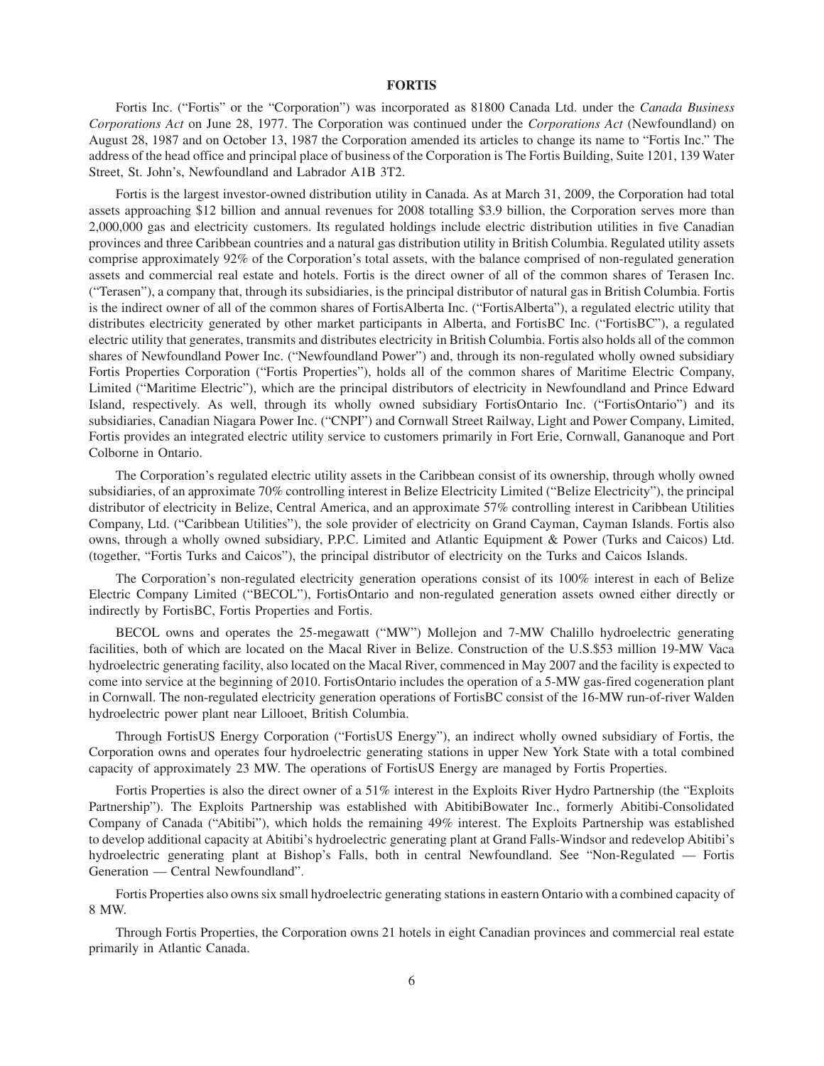#### **FORTIS**

Fortis Inc. ("Fortis" or the "Corporation") was incorporated as 81800 Canada Ltd. under the *Canada Business Corporations Act* on June 28, 1977. The Corporation was continued under the *Corporations Act* (Newfoundland) on August 28, 1987 and on October 13, 1987 the Corporation amended its articles to change its name to "Fortis Inc." The address of the head office and principal place of business of the Corporation is The Fortis Building, Suite 1201, 139 Water Street, St. John's, Newfoundland and Labrador A1B 3T2.

Fortis is the largest investor-owned distribution utility in Canada. As at March 31, 2009, the Corporation had total assets approaching \$12 billion and annual revenues for 2008 totalling \$3.9 billion, the Corporation serves more than 2,000,000 gas and electricity customers. Its regulated holdings include electric distribution utilities in five Canadian provinces and three Caribbean countries and a natural gas distribution utility in British Columbia. Regulated utility assets comprise approximately 92% of the Corporation's total assets, with the balance comprised of non-regulated generation assets and commercial real estate and hotels. Fortis is the direct owner of all of the common shares of Terasen Inc. ("Terasen"), a company that, through its subsidiaries, is the principal distributor of natural gas in British Columbia. Fortis is the indirect owner of all of the common shares of FortisAlberta Inc. ("FortisAlberta"), a regulated electric utility that distributes electricity generated by other market participants in Alberta, and FortisBC Inc. ("FortisBC"), a regulated electric utility that generates, transmits and distributes electricity in British Columbia. Fortis also holds all of the common shares of Newfoundland Power Inc. ("Newfoundland Power") and, through its non-regulated wholly owned subsidiary Fortis Properties Corporation ("Fortis Properties"), holds all of the common shares of Maritime Electric Company, Limited ("Maritime Electric"), which are the principal distributors of electricity in Newfoundland and Prince Edward Island, respectively. As well, through its wholly owned subsidiary FortisOntario Inc. ("FortisOntario") and its subsidiaries, Canadian Niagara Power Inc. ("CNPI") and Cornwall Street Railway, Light and Power Company, Limited, Fortis provides an integrated electric utility service to customers primarily in Fort Erie, Cornwall, Gananoque and Port Colborne in Ontario.

The Corporation's regulated electric utility assets in the Caribbean consist of its ownership, through wholly owned subsidiaries, of an approximate 70% controlling interest in Belize Electricity Limited ("Belize Electricity"), the principal distributor of electricity in Belize, Central America, and an approximate 57% controlling interest in Caribbean Utilities Company, Ltd. ("Caribbean Utilities"), the sole provider of electricity on Grand Cayman, Cayman Islands. Fortis also owns, through a wholly owned subsidiary, P.P.C. Limited and Atlantic Equipment & Power (Turks and Caicos) Ltd. (together, "Fortis Turks and Caicos"), the principal distributor of electricity on the Turks and Caicos Islands.

The Corporation's non-regulated electricity generation operations consist of its 100% interest in each of Belize Electric Company Limited ("BECOL"), FortisOntario and non-regulated generation assets owned either directly or indirectly by FortisBC, Fortis Properties and Fortis.

BECOL owns and operates the 25-megawatt ("MW") Mollejon and 7-MW Chalillo hydroelectric generating facilities, both of which are located on the Macal River in Belize. Construction of the U.S.\$53 million 19-MW Vaca hydroelectric generating facility, also located on the Macal River, commenced in May 2007 and the facility is expected to come into service at the beginning of 2010. FortisOntario includes the operation of a 5-MW gas-fired cogeneration plant in Cornwall. The non-regulated electricity generation operations of FortisBC consist of the 16-MW run-of-river Walden hydroelectric power plant near Lillooet, British Columbia.

Through FortisUS Energy Corporation ("FortisUS Energy"), an indirect wholly owned subsidiary of Fortis, the Corporation owns and operates four hydroelectric generating stations in upper New York State with a total combined capacity of approximately 23 MW. The operations of FortisUS Energy are managed by Fortis Properties.

Fortis Properties is also the direct owner of a 51% interest in the Exploits River Hydro Partnership (the "Exploits Partnership"). The Exploits Partnership was established with AbitibiBowater Inc., formerly Abitibi-Consolidated Company of Canada ("Abitibi"), which holds the remaining 49% interest. The Exploits Partnership was established to develop additional capacity at Abitibi's hydroelectric generating plant at Grand Falls-Windsor and redevelop Abitibi's hydroelectric generating plant at Bishop's Falls, both in central Newfoundland. See "Non-Regulated — Fortis Generation — Central Newfoundland".

Fortis Properties also owns six small hydroelectric generating stations in eastern Ontario with a combined capacity of 8 MW.

Through Fortis Properties, the Corporation owns 21 hotels in eight Canadian provinces and commercial real estate primarily in Atlantic Canada.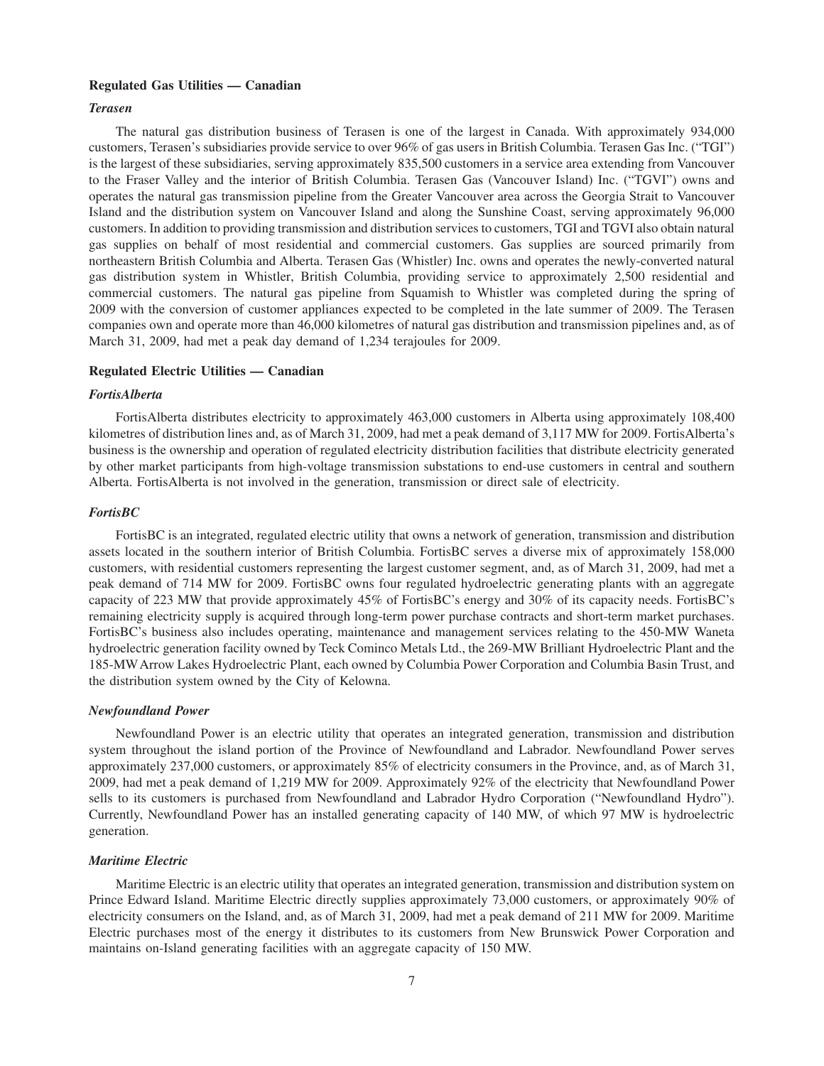#### **Regulated Gas Utilities — Canadian**

#### *Terasen*

The natural gas distribution business of Terasen is one of the largest in Canada. With approximately 934,000 customers, Terasen's subsidiaries provide service to over 96% of gas users in British Columbia. Terasen Gas Inc. ("TGI") is the largest of these subsidiaries, serving approximately 835,500 customers in a service area extending from Vancouver to the Fraser Valley and the interior of British Columbia. Terasen Gas (Vancouver Island) Inc. ("TGVI") owns and operates the natural gas transmission pipeline from the Greater Vancouver area across the Georgia Strait to Vancouver Island and the distribution system on Vancouver Island and along the Sunshine Coast, serving approximately 96,000 customers. In addition to providing transmission and distribution services to customers, TGI and TGVI also obtain natural gas supplies on behalf of most residential and commercial customers. Gas supplies are sourced primarily from northeastern British Columbia and Alberta. Terasen Gas (Whistler) Inc. owns and operates the newly-converted natural gas distribution system in Whistler, British Columbia, providing service to approximately 2,500 residential and commercial customers. The natural gas pipeline from Squamish to Whistler was completed during the spring of 2009 with the conversion of customer appliances expected to be completed in the late summer of 2009. The Terasen companies own and operate more than 46,000 kilometres of natural gas distribution and transmission pipelines and, as of March 31, 2009, had met a peak day demand of 1,234 terajoules for 2009.

#### **Regulated Electric Utilities — Canadian**

#### *FortisAlberta*

FortisAlberta distributes electricity to approximately 463,000 customers in Alberta using approximately 108,400 kilometres of distribution lines and, as of March 31, 2009, had met a peak demand of 3,117 MW for 2009. FortisAlberta's business is the ownership and operation of regulated electricity distribution facilities that distribute electricity generated by other market participants from high-voltage transmission substations to end-use customers in central and southern Alberta. FortisAlberta is not involved in the generation, transmission or direct sale of electricity.

#### *FortisBC*

FortisBC is an integrated, regulated electric utility that owns a network of generation, transmission and distribution assets located in the southern interior of British Columbia. FortisBC serves a diverse mix of approximately 158,000 customers, with residential customers representing the largest customer segment, and, as of March 31, 2009, had met a peak demand of 714 MW for 2009. FortisBC owns four regulated hydroelectric generating plants with an aggregate capacity of 223 MW that provide approximately 45% of FortisBC's energy and 30% of its capacity needs. FortisBC's remaining electricity supply is acquired through long-term power purchase contracts and short-term market purchases. FortisBC's business also includes operating, maintenance and management services relating to the 450-MW Waneta hydroelectric generation facility owned by Teck Cominco Metals Ltd., the 269-MW Brilliant Hydroelectric Plant and the 185-MWArrow Lakes Hydroelectric Plant, each owned by Columbia Power Corporation and Columbia Basin Trust, and the distribution system owned by the City of Kelowna.

#### *Newfoundland Power*

Newfoundland Power is an electric utility that operates an integrated generation, transmission and distribution system throughout the island portion of the Province of Newfoundland and Labrador. Newfoundland Power serves approximately 237,000 customers, or approximately 85% of electricity consumers in the Province, and, as of March 31, 2009, had met a peak demand of 1,219 MW for 2009. Approximately 92% of the electricity that Newfoundland Power sells to its customers is purchased from Newfoundland and Labrador Hydro Corporation ("Newfoundland Hydro"). Currently, Newfoundland Power has an installed generating capacity of 140 MW, of which 97 MW is hydroelectric generation.

#### *Maritime Electric*

Maritime Electric is an electric utility that operates an integrated generation, transmission and distribution system on Prince Edward Island. Maritime Electric directly supplies approximately 73,000 customers, or approximately 90% of electricity consumers on the Island, and, as of March 31, 2009, had met a peak demand of 211 MW for 2009. Maritime Electric purchases most of the energy it distributes to its customers from New Brunswick Power Corporation and maintains on-Island generating facilities with an aggregate capacity of 150 MW.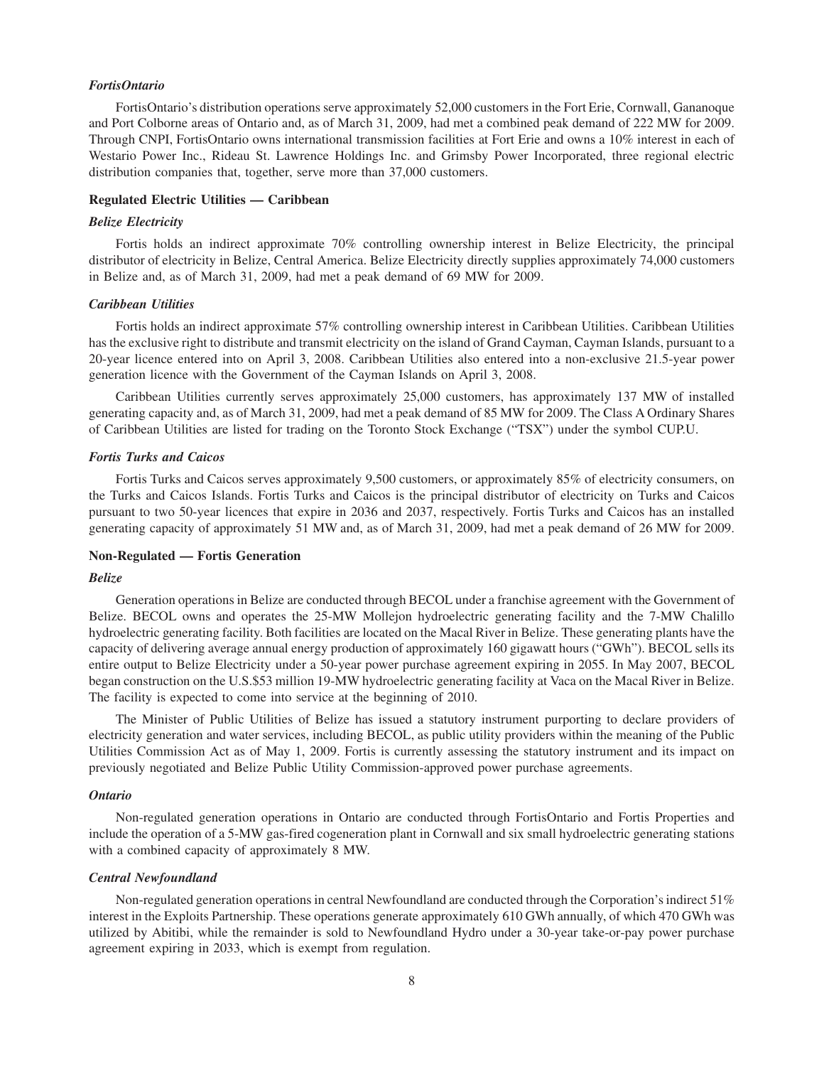#### *FortisOntario*

FortisOntario's distribution operations serve approximately 52,000 customers in the Fort Erie, Cornwall, Gananoque and Port Colborne areas of Ontario and, as of March 31, 2009, had met a combined peak demand of 222 MW for 2009. Through CNPI, FortisOntario owns international transmission facilities at Fort Erie and owns a 10% interest in each of Westario Power Inc., Rideau St. Lawrence Holdings Inc. and Grimsby Power Incorporated, three regional electric distribution companies that, together, serve more than 37,000 customers.

#### **Regulated Electric Utilities — Caribbean**

#### *Belize Electricity*

Fortis holds an indirect approximate 70% controlling ownership interest in Belize Electricity, the principal distributor of electricity in Belize, Central America. Belize Electricity directly supplies approximately 74,000 customers in Belize and, as of March 31, 2009, had met a peak demand of 69 MW for 2009.

#### *Caribbean Utilities*

Fortis holds an indirect approximate 57% controlling ownership interest in Caribbean Utilities. Caribbean Utilities has the exclusive right to distribute and transmit electricity on the island of Grand Cayman, Cayman Islands, pursuant to a 20-year licence entered into on April 3, 2008. Caribbean Utilities also entered into a non-exclusive 21.5-year power generation licence with the Government of the Cayman Islands on April 3, 2008.

Caribbean Utilities currently serves approximately 25,000 customers, has approximately 137 MW of installed generating capacity and, as of March 31, 2009, had met a peak demand of 85 MW for 2009. The Class A Ordinary Shares of Caribbean Utilities are listed for trading on the Toronto Stock Exchange ("TSX") under the symbol CUP.U.

#### *Fortis Turks and Caicos*

Fortis Turks and Caicos serves approximately 9,500 customers, or approximately 85% of electricity consumers, on the Turks and Caicos Islands. Fortis Turks and Caicos is the principal distributor of electricity on Turks and Caicos pursuant to two 50-year licences that expire in 2036 and 2037, respectively. Fortis Turks and Caicos has an installed generating capacity of approximately 51 MW and, as of March 31, 2009, had met a peak demand of 26 MW for 2009.

#### **Non-Regulated — Fortis Generation**

#### *Belize*

Generation operations in Belize are conducted through BECOL under a franchise agreement with the Government of Belize. BECOL owns and operates the 25-MW Mollejon hydroelectric generating facility and the 7-MW Chalillo hydroelectric generating facility. Both facilities are located on the Macal River in Belize. These generating plants have the capacity of delivering average annual energy production of approximately 160 gigawatt hours ("GWh"). BECOL sells its entire output to Belize Electricity under a 50-year power purchase agreement expiring in 2055. In May 2007, BECOL began construction on the U.S.\$53 million 19-MW hydroelectric generating facility at Vaca on the Macal River in Belize. The facility is expected to come into service at the beginning of 2010.

The Minister of Public Utilities of Belize has issued a statutory instrument purporting to declare providers of electricity generation and water services, including BECOL, as public utility providers within the meaning of the Public Utilities Commission Act as of May 1, 2009. Fortis is currently assessing the statutory instrument and its impact on previously negotiated and Belize Public Utility Commission-approved power purchase agreements.

#### *Ontario*

Non-regulated generation operations in Ontario are conducted through FortisOntario and Fortis Properties and include the operation of a 5-MW gas-fired cogeneration plant in Cornwall and six small hydroelectric generating stations with a combined capacity of approximately 8 MW.

#### *Central Newfoundland*

Non-regulated generation operations in central Newfoundland are conducted through the Corporation's indirect 51% interest in the Exploits Partnership. These operations generate approximately 610 GWh annually, of which 470 GWh was utilized by Abitibi, while the remainder is sold to Newfoundland Hydro under a 30-year take-or-pay power purchase agreement expiring in 2033, which is exempt from regulation.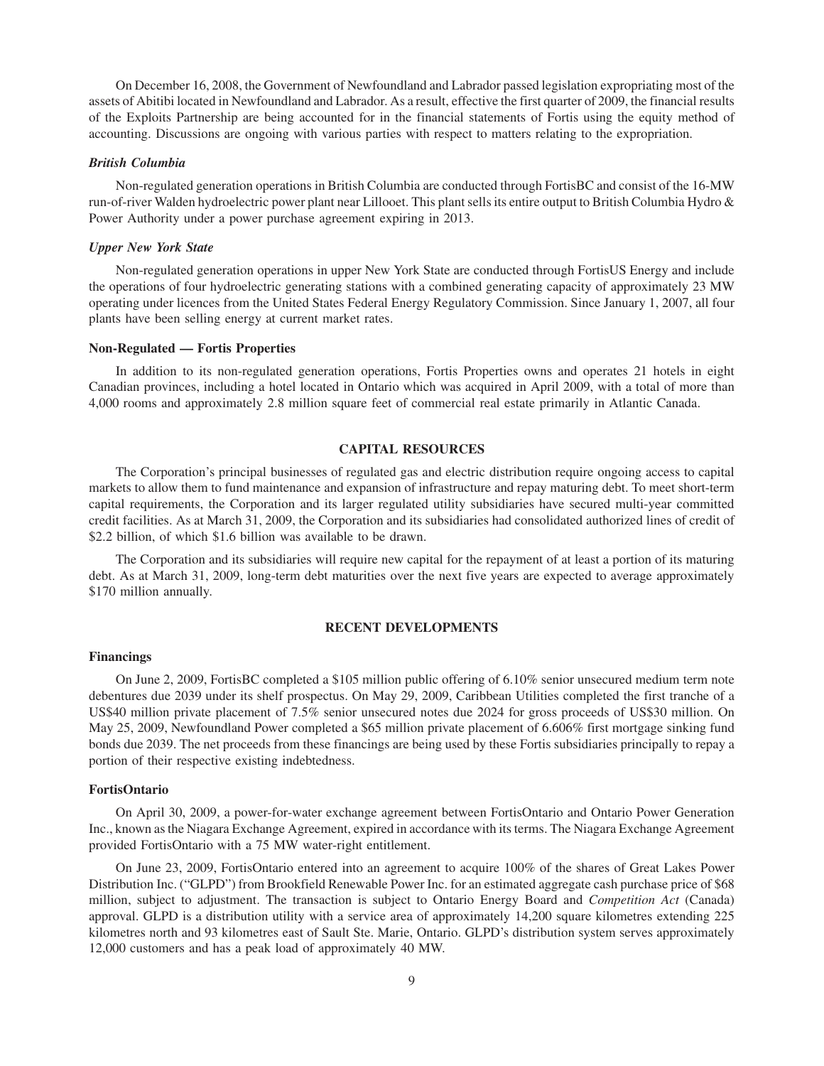On December 16, 2008, the Government of Newfoundland and Labrador passed legislation expropriating most of the assets of Abitibi located in Newfoundland and Labrador. As a result, effective the first quarter of 2009, the financial results of the Exploits Partnership are being accounted for in the financial statements of Fortis using the equity method of accounting. Discussions are ongoing with various parties with respect to matters relating to the expropriation.

#### *British Columbia*

Non-regulated generation operations in British Columbia are conducted through FortisBC and consist of the 16-MW run-of-river Walden hydroelectric power plant near Lillooet. This plant sells its entire output to British Columbia Hydro & Power Authority under a power purchase agreement expiring in 2013.

#### *Upper New York State*

Non-regulated generation operations in upper New York State are conducted through FortisUS Energy and include the operations of four hydroelectric generating stations with a combined generating capacity of approximately 23 MW operating under licences from the United States Federal Energy Regulatory Commission. Since January 1, 2007, all four plants have been selling energy at current market rates.

#### **Non-Regulated — Fortis Properties**

In addition to its non-regulated generation operations, Fortis Properties owns and operates 21 hotels in eight Canadian provinces, including a hotel located in Ontario which was acquired in April 2009, with a total of more than 4,000 rooms and approximately 2.8 million square feet of commercial real estate primarily in Atlantic Canada.

#### **CAPITAL RESOURCES**

The Corporation's principal businesses of regulated gas and electric distribution require ongoing access to capital markets to allow them to fund maintenance and expansion of infrastructure and repay maturing debt. To meet short-term capital requirements, the Corporation and its larger regulated utility subsidiaries have secured multi-year committed credit facilities. As at March 31, 2009, the Corporation and its subsidiaries had consolidated authorized lines of credit of \$2.2 billion, of which \$1.6 billion was available to be drawn.

The Corporation and its subsidiaries will require new capital for the repayment of at least a portion of its maturing debt. As at March 31, 2009, long-term debt maturities over the next five years are expected to average approximately \$170 million annually.

#### **RECENT DEVELOPMENTS**

#### **Financings**

On June 2, 2009, FortisBC completed a \$105 million public offering of 6.10% senior unsecured medium term note debentures due 2039 under its shelf prospectus. On May 29, 2009, Caribbean Utilities completed the first tranche of a US\$40 million private placement of 7.5% senior unsecured notes due 2024 for gross proceeds of US\$30 million. On May 25, 2009, Newfoundland Power completed a \$65 million private placement of 6.606% first mortgage sinking fund bonds due 2039. The net proceeds from these financings are being used by these Fortis subsidiaries principally to repay a portion of their respective existing indebtedness.

#### **FortisOntario**

On April 30, 2009, a power-for-water exchange agreement between FortisOntario and Ontario Power Generation Inc., known as the Niagara Exchange Agreement, expired in accordance with its terms. The Niagara Exchange Agreement provided FortisOntario with a 75 MW water-right entitlement.

On June 23, 2009, FortisOntario entered into an agreement to acquire 100% of the shares of Great Lakes Power Distribution Inc. ("GLPD") from Brookfield Renewable Power Inc. for an estimated aggregate cash purchase price of \$68 million, subject to adjustment. The transaction is subject to Ontario Energy Board and *Competition Act* (Canada) approval. GLPD is a distribution utility with a service area of approximately 14,200 square kilometres extending 225 kilometres north and 93 kilometres east of Sault Ste. Marie, Ontario. GLPD's distribution system serves approximately 12,000 customers and has a peak load of approximately 40 MW.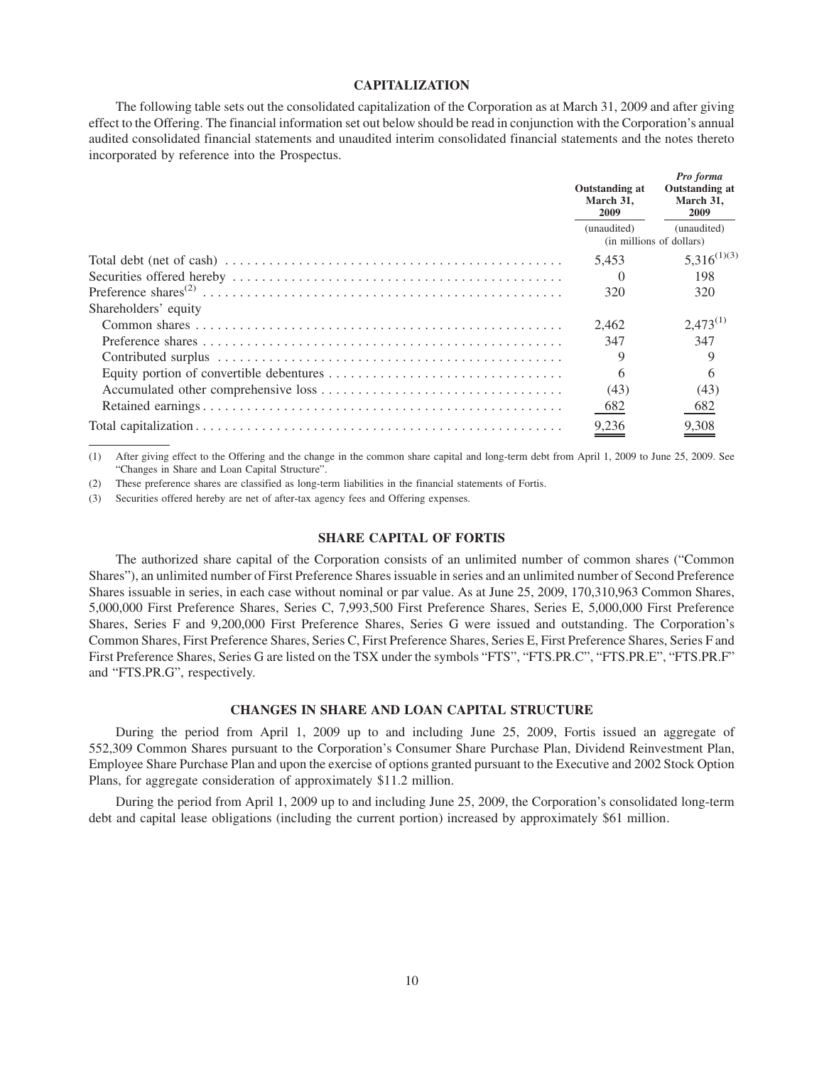#### **CAPITALIZATION**

The following table sets out the consolidated capitalization of the Corporation as at March 31, 2009 and after giving effect to the Offering. The financial information set out below should be read in conjunction with the Corporation's annual audited consolidated financial statements and unaudited interim consolidated financial statements and the notes thereto incorporated by reference into the Prospectus.

|                      | Outstanding at<br>March 31.<br>2009 | Pro forma<br>Outstanding at<br>March 31.<br><b>2009</b><br>(unaudited)<br>(in millions of dollars) |  |
|----------------------|-------------------------------------|----------------------------------------------------------------------------------------------------|--|
|                      | (unaudited)                         |                                                                                                    |  |
|                      | 5.453                               | $5,316^{(1)(3)}$                                                                                   |  |
|                      | $\left( \right)$                    | 198                                                                                                |  |
|                      | 320                                 | 320                                                                                                |  |
| Shareholders' equity |                                     |                                                                                                    |  |
|                      | 2.462                               | $2,473^{(1)}$                                                                                      |  |
|                      | 347                                 | 347                                                                                                |  |
|                      | 9                                   | 9                                                                                                  |  |
|                      | 6                                   | 6                                                                                                  |  |
|                      | (43)                                | (43)                                                                                               |  |
|                      | 682                                 | 682                                                                                                |  |
|                      | 9,236                               | 9,308                                                                                              |  |

(1) After giving effect to the Offering and the change in the common share capital and long-term debt from April 1, 2009 to June 25, 2009. See "Changes in Share and Loan Capital Structure".

(2) These preference shares are classified as long-term liabilities in the financial statements of Fortis.

(3) Securities offered hereby are net of after-tax agency fees and Offering expenses.

#### **SHARE CAPITAL OF FORTIS**

The authorized share capital of the Corporation consists of an unlimited number of common shares ("Common Shares"), an unlimited number of First Preference Shares issuable in series and an unlimited number of Second Preference Shares issuable in series, in each case without nominal or par value. As at June 25, 2009, 170,310,963 Common Shares, 5,000,000 First Preference Shares, Series C, 7,993,500 First Preference Shares, Series E, 5,000,000 First Preference Shares, Series F and 9,200,000 First Preference Shares, Series G were issued and outstanding. The Corporation's Common Shares, First Preference Shares, Series C, First Preference Shares, Series E, First Preference Shares, Series F and First Preference Shares, Series G are listed on the TSX under the symbols "FTS", "FTS.PR.C", "FTS.PR.E", "FTS.PR.F" and "FTS.PR.G", respectively.

#### **CHANGES IN SHARE AND LOAN CAPITAL STRUCTURE**

During the period from April 1, 2009 up to and including June 25, 2009, Fortis issued an aggregate of 552,309 Common Shares pursuant to the Corporation's Consumer Share Purchase Plan, Dividend Reinvestment Plan, Employee Share Purchase Plan and upon the exercise of options granted pursuant to the Executive and 2002 Stock Option Plans, for aggregate consideration of approximately \$11.2 million.

During the period from April 1, 2009 up to and including June 25, 2009, the Corporation's consolidated long-term debt and capital lease obligations (including the current portion) increased by approximately \$61 million.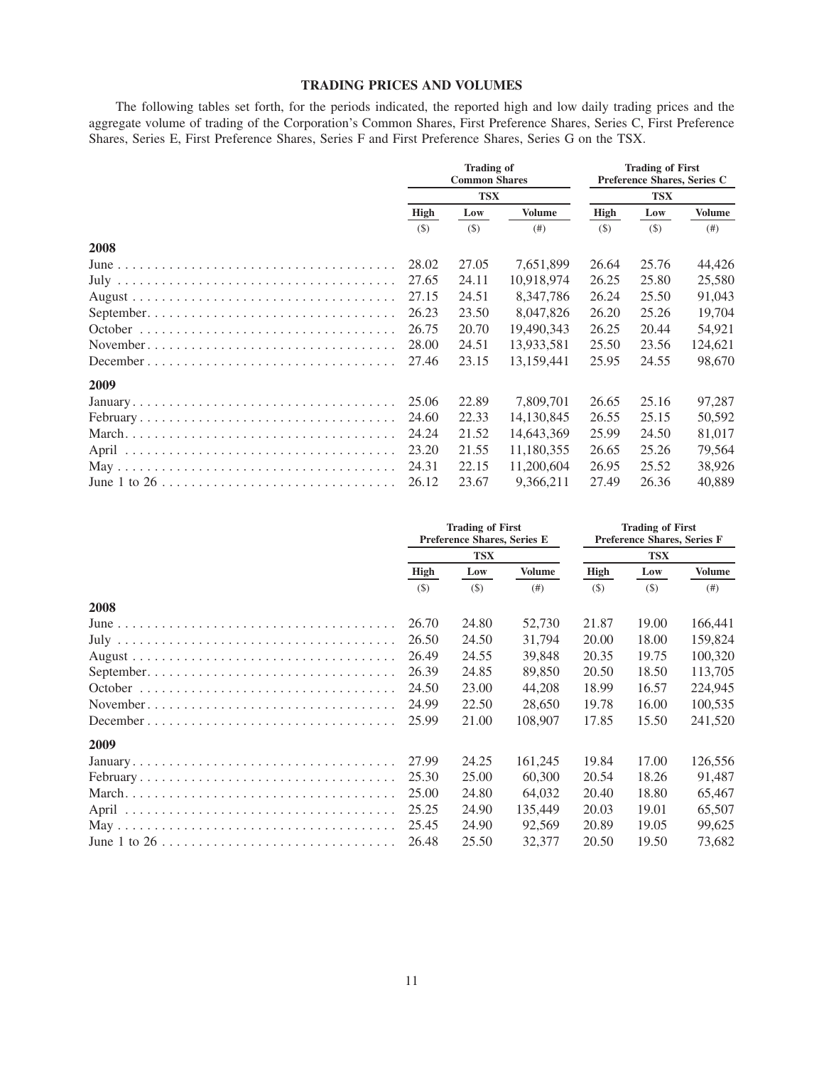#### **TRADING PRICES AND VOLUMES**

The following tables set forth, for the periods indicated, the reported high and low daily trading prices and the aggregate volume of trading of the Corporation's Common Shares, First Preference Shares, Series C, First Preference Shares, Series E, First Preference Shares, Series F and First Preference Shares, Series G on the TSX.

|                                                                                          | <b>Trading of</b><br><b>Common Shares</b><br><b>TSX</b> |       |               | <b>Trading of First</b><br>Preference Shares, Series C<br><b>TSX</b> |         |               |
|------------------------------------------------------------------------------------------|---------------------------------------------------------|-------|---------------|----------------------------------------------------------------------|---------|---------------|
|                                                                                          |                                                         |       |               |                                                                      |         |               |
|                                                                                          | High                                                    | Low   | <b>Volume</b> | High                                                                 | Low     | <b>Volume</b> |
|                                                                                          | (5)                                                     | (S)   | (# )          | $($ \$                                                               | $($ \$) | (# )          |
| 2008                                                                                     |                                                         |       |               |                                                                      |         |               |
|                                                                                          | 28.02                                                   | 27.05 | 7,651,899     | 26.64                                                                | 25.76   | 44,426        |
|                                                                                          | 27.65                                                   | 24.11 | 10,918,974    | 26.25                                                                | 25.80   | 25,580        |
|                                                                                          | 27.15                                                   | 24.51 | 8,347,786     | 26.24                                                                | 25.50   | 91,043        |
|                                                                                          | 26.23                                                   | 23.50 | 8,047,826     | 26.20                                                                | 25.26   | 19,704        |
|                                                                                          | 26.75                                                   | 20.70 | 19,490,343    | 26.25                                                                | 20.44   | 54,921        |
| November                                                                                 | 28.00                                                   | 24.51 | 13,933,581    | 25.50                                                                | 23.56   | 124,621       |
| $December \dots \dots \dots \dots \dots \dots \dots \dots \dots \dots \dots \dots \dots$ | 27.46                                                   | 23.15 | 13,159,441    | 25.95                                                                | 24.55   | 98,670        |
| 2009                                                                                     |                                                         |       |               |                                                                      |         |               |
|                                                                                          | 25.06                                                   | 22.89 | 7,809,701     | 26.65                                                                | 25.16   | 97,287        |
|                                                                                          | 24.60                                                   | 22.33 | 14, 130, 845  | 26.55                                                                | 25.15   | 50,592        |
|                                                                                          | 24.24                                                   | 21.52 | 14,643,369    | 25.99                                                                | 24.50   | 81,017        |
|                                                                                          | 23.20                                                   | 21.55 | 11,180,355    | 26.65                                                                | 25.26   | 79,564        |
|                                                                                          | 24.31                                                   | 22.15 | 11,200,604    | 26.95                                                                | 25.52   | 38,926        |
|                                                                                          | 26.12                                                   | 23.67 | 9,366,211     | 27.49                                                                | 26.36   | 40,889        |

|                                                                                          | <b>Trading of First</b><br>Preference Shares, Series E<br><b>TSX</b> |         |               | <b>Trading of First</b><br>Preference Shares, Series F<br><b>TSX</b> |         |               |
|------------------------------------------------------------------------------------------|----------------------------------------------------------------------|---------|---------------|----------------------------------------------------------------------|---------|---------------|
|                                                                                          |                                                                      |         |               |                                                                      |         |               |
|                                                                                          | High                                                                 | Low     | <b>Volume</b> | High                                                                 | Low     | <b>Volume</b> |
|                                                                                          | $($ \$                                                               | $($ \$) | (# )          | $(\$)$                                                               | $($ \$) | (# )          |
| 2008                                                                                     |                                                                      |         |               |                                                                      |         |               |
|                                                                                          | 26.70                                                                | 24.80   | 52,730        | 21.87                                                                | 19.00   | 166,441       |
|                                                                                          | 26.50                                                                | 24.50   | 31,794        | 20.00                                                                | 18.00   | 159,824       |
|                                                                                          | 26.49                                                                | 24.55   | 39.848        | 20.35                                                                | 19.75   | 100,320       |
|                                                                                          | 26.39                                                                | 24.85   | 89,850        | 20.50                                                                | 18.50   | 113,705       |
|                                                                                          | 24.50                                                                | 23.00   | 44,208        | 18.99                                                                | 16.57   | 224,945       |
| November                                                                                 | 24.99                                                                | 22.50   | 28,650        | 19.78                                                                | 16.00   | 100,535       |
| $December \dots \dots \dots \dots \dots \dots \dots \dots \dots \dots \dots \dots \dots$ | 25.99                                                                | 21.00   | 108,907       | 17.85                                                                | 15.50   | 241,520       |
| 2009                                                                                     |                                                                      |         |               |                                                                      |         |               |
|                                                                                          | 27.99                                                                | 24.25   | 161,245       | 19.84                                                                | 17.00   | 126,556       |
|                                                                                          | 25.30                                                                | 25.00   | 60,300        | 20.54                                                                | 18.26   | 91,487        |
|                                                                                          | 25.00                                                                | 24.80   | 64,032        | 20.40                                                                | 18.80   | 65,467        |
|                                                                                          | 25.25                                                                | 24.90   | 135,449       | 20.03                                                                | 19.01   | 65,507        |
|                                                                                          | 25.45                                                                | 24.90   | 92,569        | 20.89                                                                | 19.05   | 99,625        |
|                                                                                          | 26.48                                                                | 25.50   | 32,377        | 20.50                                                                | 19.50   | 73,682        |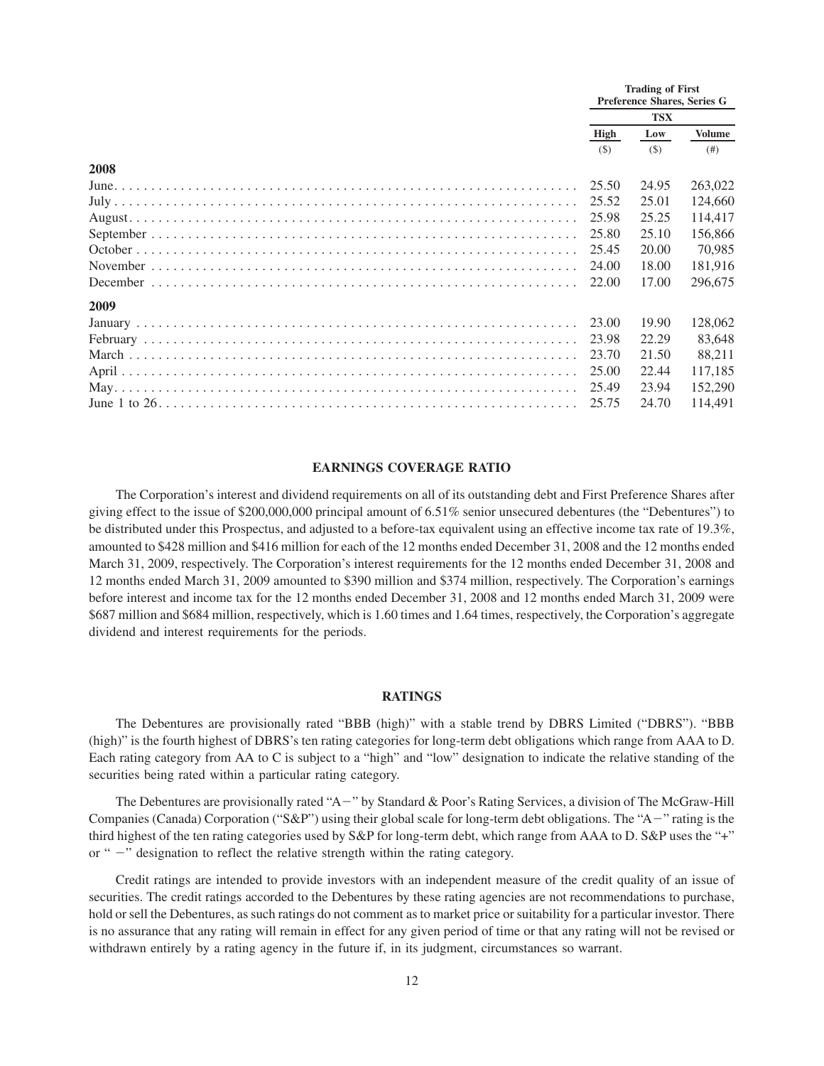|      | <b>Trading of First</b><br>Preference Shares, Series G |       |               |
|------|--------------------------------------------------------|-------|---------------|
|      | <b>TSX</b>                                             |       |               |
|      | <b>High</b><br>Low                                     |       | <b>Volume</b> |
|      | (S)                                                    | (S)   | (# )          |
| 2008 |                                                        |       |               |
|      | 25.50                                                  | 24.95 | 263,022       |
|      | 25.52                                                  | 25.01 | 124,660       |
|      | 25.98                                                  | 25.25 | 114,417       |
|      | 25.80                                                  | 25.10 | 156,866       |
|      | 25.45                                                  | 20.00 | 70,985        |
|      | 24.00                                                  | 18.00 | 181.916       |
|      | 22.00                                                  | 17.00 | 296,675       |
| 2009 |                                                        |       |               |
|      | 23.00                                                  | 19.90 | 128,062       |
|      | 23.98                                                  | 22.29 | 83,648        |
|      | 23.70                                                  | 21.50 | 88,211        |
|      | 25.00                                                  | 22.44 | 117.185       |
|      | 25.49                                                  | 23.94 | 152,290       |
|      | 25.75                                                  | 24.70 | 114,491       |

#### **EARNINGS COVERAGE RATIO**

The Corporation's interest and dividend requirements on all of its outstanding debt and First Preference Shares after giving effect to the issue of \$200,000,000 principal amount of 6.51% senior unsecured debentures (the "Debentures") to be distributed under this Prospectus, and adjusted to a before-tax equivalent using an effective income tax rate of 19.3%, amounted to \$428 million and \$416 million for each of the 12 months ended December 31, 2008 and the 12 months ended March 31, 2009, respectively. The Corporation's interest requirements for the 12 months ended December 31, 2008 and 12 months ended March 31, 2009 amounted to \$390 million and \$374 million, respectively. The Corporation's earnings before interest and income tax for the 12 months ended December 31, 2008 and 12 months ended March 31, 2009 were \$687 million and \$684 million, respectively, which is 1.60 times and 1.64 times, respectively, the Corporation's aggregate dividend and interest requirements for the periods.

#### **RATINGS**

The Debentures are provisionally rated "BBB (high)" with a stable trend by DBRS Limited ("DBRS"). "BBB (high)" is the fourth highest of DBRS's ten rating categories for long-term debt obligations which range from AAA to D. Each rating category from AA to C is subject to a "high" and "low" designation to indicate the relative standing of the securities being rated within a particular rating category.

The Debentures are provisionally rated "A-" by Standard & Poor's Rating Services, a division of The McGraw-Hill Companies (Canada) Corporation (" $S\&P$ ") using their global scale for long-term debt obligations. The "A-" rating is the third highest of the ten rating categories used by S&P for long-term debt, which range from AAA to D. S&P uses the "+" or " -" designation to reflect the relative strength within the rating category.

Credit ratings are intended to provide investors with an independent measure of the credit quality of an issue of securities. The credit ratings accorded to the Debentures by these rating agencies are not recommendations to purchase, hold or sell the Debentures, as such ratings do not comment as to market price or suitability for a particular investor. There is no assurance that any rating will remain in effect for any given period of time or that any rating will not be revised or withdrawn entirely by a rating agency in the future if, in its judgment, circumstances so warrant.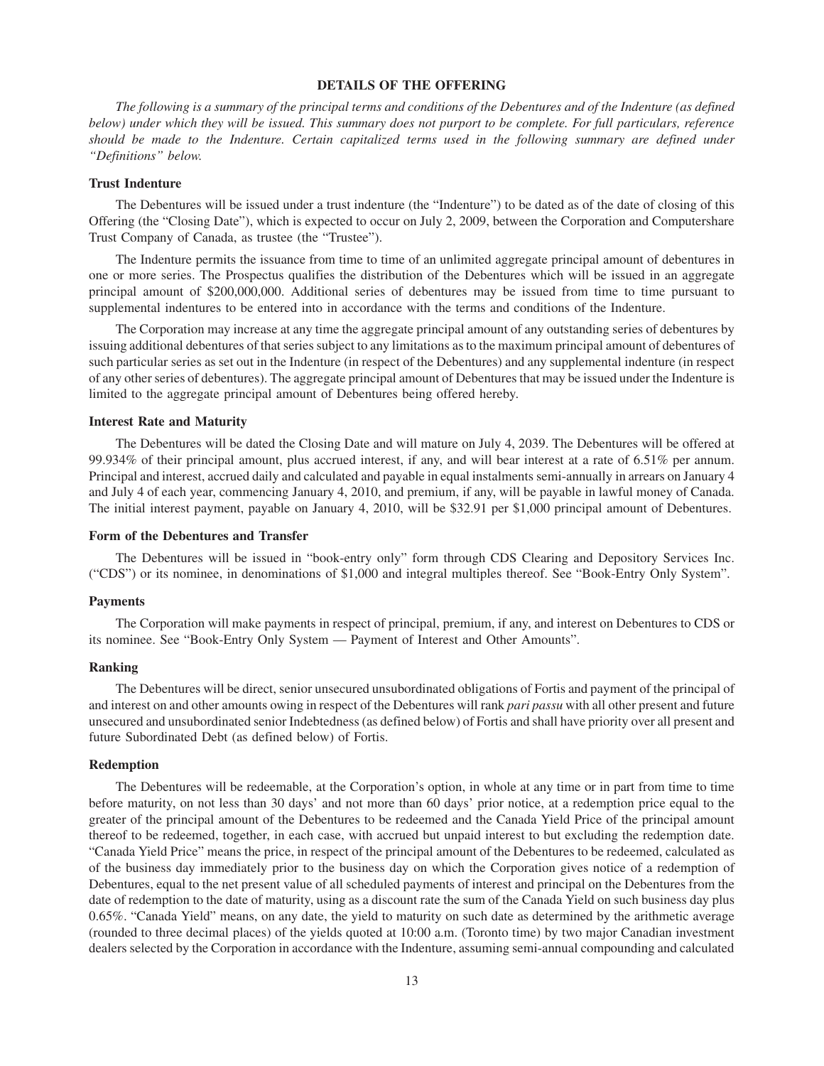#### **DETAILS OF THE OFFERING**

*The following is a summary of the principal terms and conditions of the Debentures and of the Indenture (as defined below) under which they will be issued. This summary does not purport to be complete. For full particulars, reference should be made to the Indenture. Certain capitalized terms used in the following summary are defined under "Definitions" below.*

#### **Trust Indenture**

The Debentures will be issued under a trust indenture (the "Indenture") to be dated as of the date of closing of this Offering (the "Closing Date"), which is expected to occur on July 2, 2009, between the Corporation and Computershare Trust Company of Canada, as trustee (the "Trustee").

The Indenture permits the issuance from time to time of an unlimited aggregate principal amount of debentures in one or more series. The Prospectus qualifies the distribution of the Debentures which will be issued in an aggregate principal amount of \$200,000,000. Additional series of debentures may be issued from time to time pursuant to supplemental indentures to be entered into in accordance with the terms and conditions of the Indenture.

The Corporation may increase at any time the aggregate principal amount of any outstanding series of debentures by issuing additional debentures of that series subject to any limitations as to the maximum principal amount of debentures of such particular series as set out in the Indenture (in respect of the Debentures) and any supplemental indenture (in respect of any other series of debentures). The aggregate principal amount of Debentures that may be issued under the Indenture is limited to the aggregate principal amount of Debentures being offered hereby.

#### **Interest Rate and Maturity**

The Debentures will be dated the Closing Date and will mature on July 4, 2039. The Debentures will be offered at 99.934% of their principal amount, plus accrued interest, if any, and will bear interest at a rate of 6.51% per annum. Principal and interest, accrued daily and calculated and payable in equal instalments semi-annually in arrears on January 4 and July 4 of each year, commencing January 4, 2010, and premium, if any, will be payable in lawful money of Canada. The initial interest payment, payable on January 4, 2010, will be \$32.91 per \$1,000 principal amount of Debentures.

#### **Form of the Debentures and Transfer**

The Debentures will be issued in "book-entry only" form through CDS Clearing and Depository Services Inc. ("CDS") or its nominee, in denominations of \$1,000 and integral multiples thereof. See "Book-Entry Only System".

#### **Payments**

The Corporation will make payments in respect of principal, premium, if any, and interest on Debentures to CDS or its nominee. See "Book-Entry Only System — Payment of Interest and Other Amounts".

#### **Ranking**

The Debentures will be direct, senior unsecured unsubordinated obligations of Fortis and payment of the principal of and interest on and other amounts owing in respect of the Debentures will rank *pari passu* with all other present and future unsecured and unsubordinated senior Indebtedness (as defined below) of Fortis and shall have priority over all present and future Subordinated Debt (as defined below) of Fortis.

#### **Redemption**

The Debentures will be redeemable, at the Corporation's option, in whole at any time or in part from time to time before maturity, on not less than 30 days' and not more than 60 days' prior notice, at a redemption price equal to the greater of the principal amount of the Debentures to be redeemed and the Canada Yield Price of the principal amount thereof to be redeemed, together, in each case, with accrued but unpaid interest to but excluding the redemption date. "Canada Yield Price" means the price, in respect of the principal amount of the Debentures to be redeemed, calculated as of the business day immediately prior to the business day on which the Corporation gives notice of a redemption of Debentures, equal to the net present value of all scheduled payments of interest and principal on the Debentures from the date of redemption to the date of maturity, using as a discount rate the sum of the Canada Yield on such business day plus 0.65%. "Canada Yield" means, on any date, the yield to maturity on such date as determined by the arithmetic average (rounded to three decimal places) of the yields quoted at 10:00 a.m. (Toronto time) by two major Canadian investment dealers selected by the Corporation in accordance with the Indenture, assuming semi-annual compounding and calculated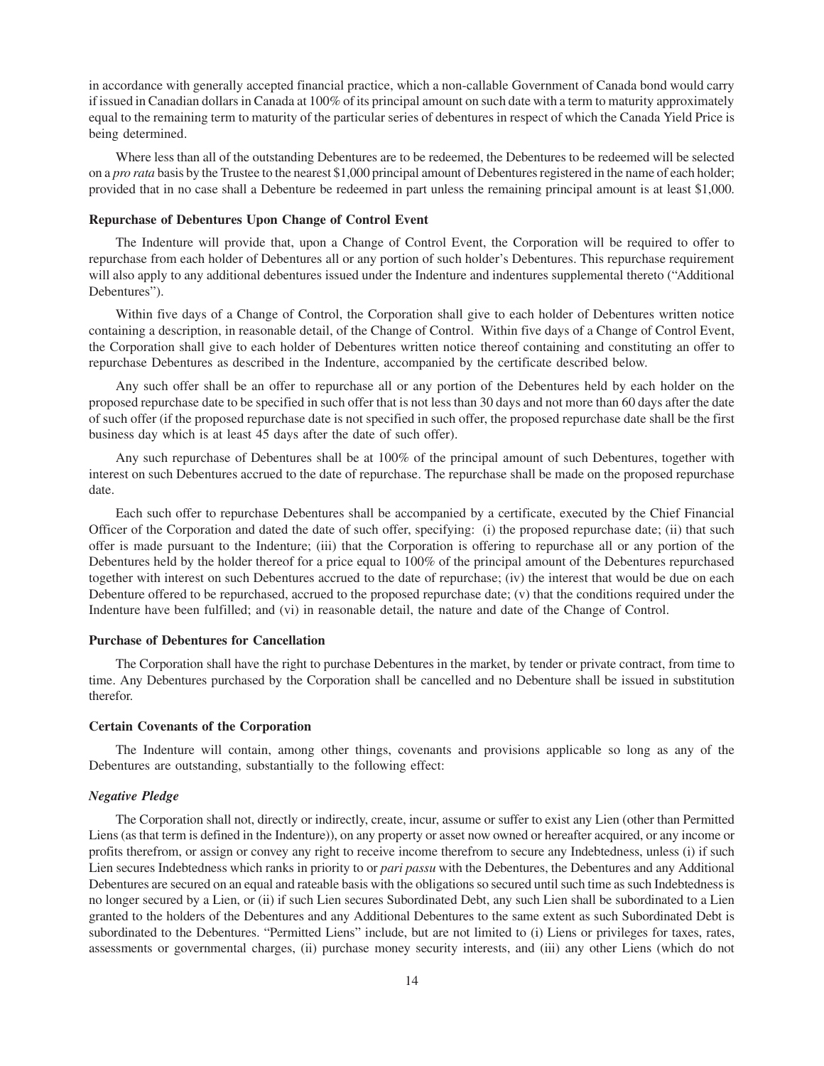in accordance with generally accepted financial practice, which a non-callable Government of Canada bond would carry if issued in Canadian dollars in Canada at 100% of its principal amount on such date with a term to maturity approximately equal to the remaining term to maturity of the particular series of debentures in respect of which the Canada Yield Price is being determined.

Where less than all of the outstanding Debentures are to be redeemed, the Debentures to be redeemed will be selected on a *pro rata* basis by the Trustee to the nearest \$1,000 principal amount of Debentures registered in the name of each holder; provided that in no case shall a Debenture be redeemed in part unless the remaining principal amount is at least \$1,000.

#### **Repurchase of Debentures Upon Change of Control Event**

The Indenture will provide that, upon a Change of Control Event, the Corporation will be required to offer to repurchase from each holder of Debentures all or any portion of such holder's Debentures. This repurchase requirement will also apply to any additional debentures issued under the Indenture and indentures supplemental thereto ("Additional Debentures").

Within five days of a Change of Control, the Corporation shall give to each holder of Debentures written notice containing a description, in reasonable detail, of the Change of Control. Within five days of a Change of Control Event, the Corporation shall give to each holder of Debentures written notice thereof containing and constituting an offer to repurchase Debentures as described in the Indenture, accompanied by the certificate described below.

Any such offer shall be an offer to repurchase all or any portion of the Debentures held by each holder on the proposed repurchase date to be specified in such offer that is not less than 30 days and not more than 60 days after the date of such offer (if the proposed repurchase date is not specified in such offer, the proposed repurchase date shall be the first business day which is at least 45 days after the date of such offer).

Any such repurchase of Debentures shall be at 100% of the principal amount of such Debentures, together with interest on such Debentures accrued to the date of repurchase. The repurchase shall be made on the proposed repurchase date.

Each such offer to repurchase Debentures shall be accompanied by a certificate, executed by the Chief Financial Officer of the Corporation and dated the date of such offer, specifying: (i) the proposed repurchase date; (ii) that such offer is made pursuant to the Indenture; (iii) that the Corporation is offering to repurchase all or any portion of the Debentures held by the holder thereof for a price equal to 100% of the principal amount of the Debentures repurchased together with interest on such Debentures accrued to the date of repurchase; (iv) the interest that would be due on each Debenture offered to be repurchased, accrued to the proposed repurchase date; (v) that the conditions required under the Indenture have been fulfilled; and (vi) in reasonable detail, the nature and date of the Change of Control.

#### **Purchase of Debentures for Cancellation**

The Corporation shall have the right to purchase Debentures in the market, by tender or private contract, from time to time. Any Debentures purchased by the Corporation shall be cancelled and no Debenture shall be issued in substitution therefor.

#### **Certain Covenants of the Corporation**

The Indenture will contain, among other things, covenants and provisions applicable so long as any of the Debentures are outstanding, substantially to the following effect:

#### *Negative Pledge*

The Corporation shall not, directly or indirectly, create, incur, assume or suffer to exist any Lien (other than Permitted Liens (as that term is defined in the Indenture)), on any property or asset now owned or hereafter acquired, or any income or profits therefrom, or assign or convey any right to receive income therefrom to secure any Indebtedness, unless (i) if such Lien secures Indebtedness which ranks in priority to or *pari passu* with the Debentures, the Debentures and any Additional Debentures are secured on an equal and rateable basis with the obligations so secured until such time as such Indebtedness is no longer secured by a Lien, or (ii) if such Lien secures Subordinated Debt, any such Lien shall be subordinated to a Lien granted to the holders of the Debentures and any Additional Debentures to the same extent as such Subordinated Debt is subordinated to the Debentures. "Permitted Liens" include, but are not limited to (i) Liens or privileges for taxes, rates, assessments or governmental charges, (ii) purchase money security interests, and (iii) any other Liens (which do not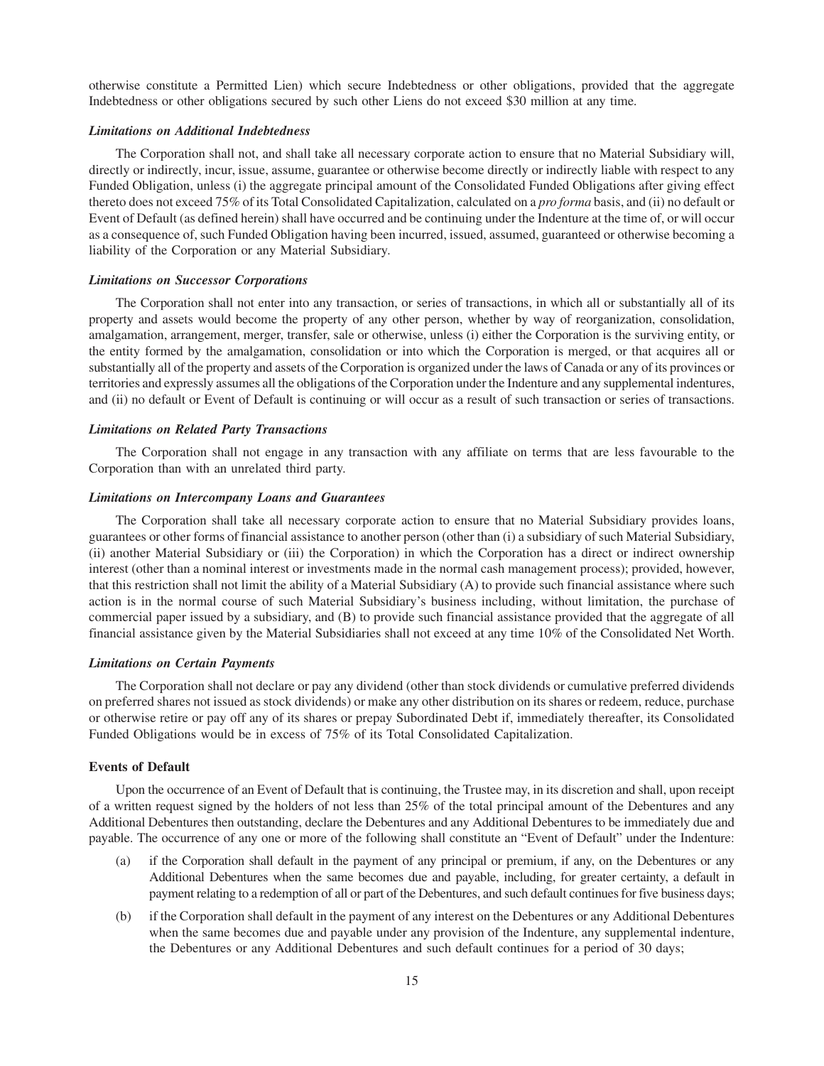otherwise constitute a Permitted Lien) which secure Indebtedness or other obligations, provided that the aggregate Indebtedness or other obligations secured by such other Liens do not exceed \$30 million at any time.

#### *Limitations on Additional Indebtedness*

The Corporation shall not, and shall take all necessary corporate action to ensure that no Material Subsidiary will, directly or indirectly, incur, issue, assume, guarantee or otherwise become directly or indirectly liable with respect to any Funded Obligation, unless (i) the aggregate principal amount of the Consolidated Funded Obligations after giving effect thereto does not exceed 75% of its Total Consolidated Capitalization, calculated on a *pro forma* basis, and (ii) no default or Event of Default (as defined herein) shall have occurred and be continuing under the Indenture at the time of, or will occur as a consequence of, such Funded Obligation having been incurred, issued, assumed, guaranteed or otherwise becoming a liability of the Corporation or any Material Subsidiary.

#### *Limitations on Successor Corporations*

The Corporation shall not enter into any transaction, or series of transactions, in which all or substantially all of its property and assets would become the property of any other person, whether by way of reorganization, consolidation, amalgamation, arrangement, merger, transfer, sale or otherwise, unless (i) either the Corporation is the surviving entity, or the entity formed by the amalgamation, consolidation or into which the Corporation is merged, or that acquires all or substantially all of the property and assets of the Corporation is organized under the laws of Canada or any of its provinces or territories and expressly assumes all the obligations of the Corporation under the Indenture and any supplemental indentures, and (ii) no default or Event of Default is continuing or will occur as a result of such transaction or series of transactions.

#### *Limitations on Related Party Transactions*

The Corporation shall not engage in any transaction with any affiliate on terms that are less favourable to the Corporation than with an unrelated third party.

#### *Limitations on Intercompany Loans and Guarantees*

The Corporation shall take all necessary corporate action to ensure that no Material Subsidiary provides loans, guarantees or other forms of financial assistance to another person (other than (i) a subsidiary of such Material Subsidiary, (ii) another Material Subsidiary or (iii) the Corporation) in which the Corporation has a direct or indirect ownership interest (other than a nominal interest or investments made in the normal cash management process); provided, however, that this restriction shall not limit the ability of a Material Subsidiary (A) to provide such financial assistance where such action is in the normal course of such Material Subsidiary's business including, without limitation, the purchase of commercial paper issued by a subsidiary, and (B) to provide such financial assistance provided that the aggregate of all financial assistance given by the Material Subsidiaries shall not exceed at any time 10% of the Consolidated Net Worth.

#### *Limitations on Certain Payments*

The Corporation shall not declare or pay any dividend (other than stock dividends or cumulative preferred dividends on preferred shares not issued as stock dividends) or make any other distribution on its shares or redeem, reduce, purchase or otherwise retire or pay off any of its shares or prepay Subordinated Debt if, immediately thereafter, its Consolidated Funded Obligations would be in excess of 75% of its Total Consolidated Capitalization.

#### **Events of Default**

Upon the occurrence of an Event of Default that is continuing, the Trustee may, in its discretion and shall, upon receipt of a written request signed by the holders of not less than 25% of the total principal amount of the Debentures and any Additional Debentures then outstanding, declare the Debentures and any Additional Debentures to be immediately due and payable. The occurrence of any one or more of the following shall constitute an "Event of Default" under the Indenture:

- (a) if the Corporation shall default in the payment of any principal or premium, if any, on the Debentures or any Additional Debentures when the same becomes due and payable, including, for greater certainty, a default in payment relating to a redemption of all or part of the Debentures, and such default continues for five business days;
- (b) if the Corporation shall default in the payment of any interest on the Debentures or any Additional Debentures when the same becomes due and payable under any provision of the Indenture, any supplemental indenture, the Debentures or any Additional Debentures and such default continues for a period of 30 days;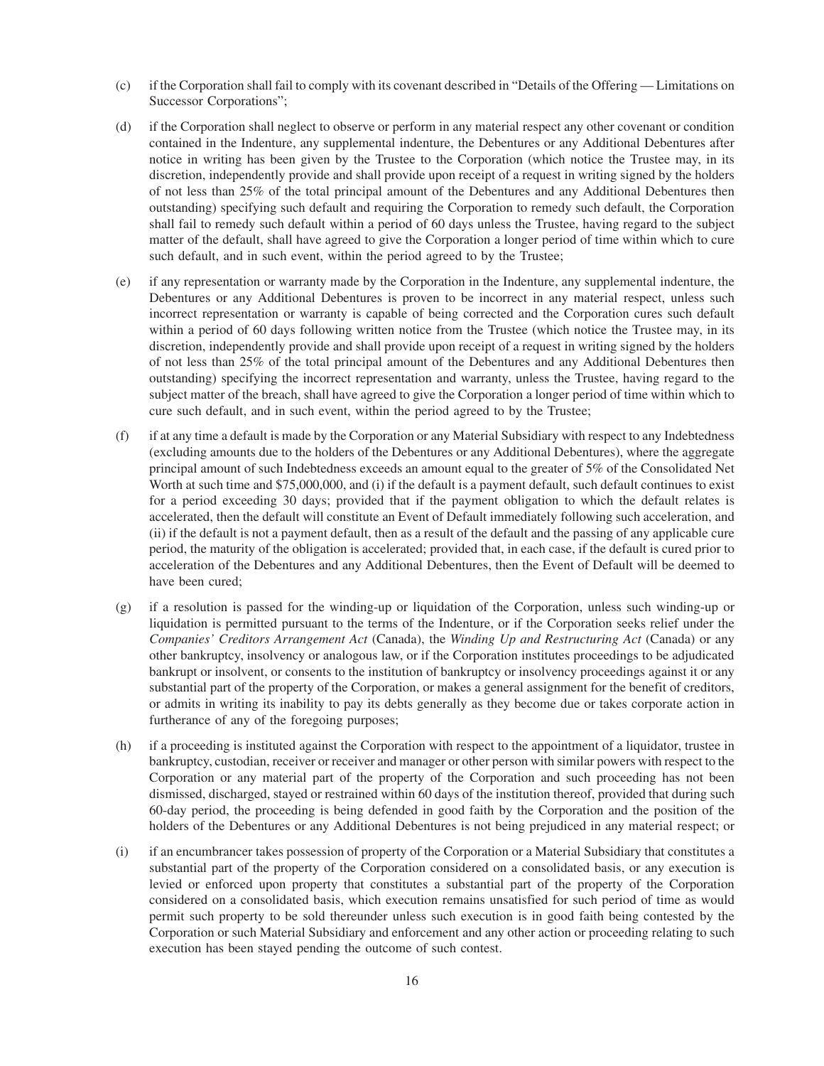- (c) if the Corporation shall fail to comply with its covenant described in "Details of the Offering Limitations on Successor Corporations";
- (d) if the Corporation shall neglect to observe or perform in any material respect any other covenant or condition contained in the Indenture, any supplemental indenture, the Debentures or any Additional Debentures after notice in writing has been given by the Trustee to the Corporation (which notice the Trustee may, in its discretion, independently provide and shall provide upon receipt of a request in writing signed by the holders of not less than 25% of the total principal amount of the Debentures and any Additional Debentures then outstanding) specifying such default and requiring the Corporation to remedy such default, the Corporation shall fail to remedy such default within a period of 60 days unless the Trustee, having regard to the subject matter of the default, shall have agreed to give the Corporation a longer period of time within which to cure such default, and in such event, within the period agreed to by the Trustee;
- (e) if any representation or warranty made by the Corporation in the Indenture, any supplemental indenture, the Debentures or any Additional Debentures is proven to be incorrect in any material respect, unless such incorrect representation or warranty is capable of being corrected and the Corporation cures such default within a period of 60 days following written notice from the Trustee (which notice the Trustee may, in its discretion, independently provide and shall provide upon receipt of a request in writing signed by the holders of not less than 25% of the total principal amount of the Debentures and any Additional Debentures then outstanding) specifying the incorrect representation and warranty, unless the Trustee, having regard to the subject matter of the breach, shall have agreed to give the Corporation a longer period of time within which to cure such default, and in such event, within the period agreed to by the Trustee;
- (f) if at any time a default is made by the Corporation or any Material Subsidiary with respect to any Indebtedness (excluding amounts due to the holders of the Debentures or any Additional Debentures), where the aggregate principal amount of such Indebtedness exceeds an amount equal to the greater of 5% of the Consolidated Net Worth at such time and \$75,000,000, and (i) if the default is a payment default, such default continues to exist for a period exceeding 30 days; provided that if the payment obligation to which the default relates is accelerated, then the default will constitute an Event of Default immediately following such acceleration, and (ii) if the default is not a payment default, then as a result of the default and the passing of any applicable cure period, the maturity of the obligation is accelerated; provided that, in each case, if the default is cured prior to acceleration of the Debentures and any Additional Debentures, then the Event of Default will be deemed to have been cured;
- (g) if a resolution is passed for the winding-up or liquidation of the Corporation, unless such winding-up or liquidation is permitted pursuant to the terms of the Indenture, or if the Corporation seeks relief under the *Companies' Creditors Arrangement Act* (Canada), the *Winding Up and Restructuring Act* (Canada) or any other bankruptcy, insolvency or analogous law, or if the Corporation institutes proceedings to be adjudicated bankrupt or insolvent, or consents to the institution of bankruptcy or insolvency proceedings against it or any substantial part of the property of the Corporation, or makes a general assignment for the benefit of creditors, or admits in writing its inability to pay its debts generally as they become due or takes corporate action in furtherance of any of the foregoing purposes;
- (h) if a proceeding is instituted against the Corporation with respect to the appointment of a liquidator, trustee in bankruptcy, custodian, receiver or receiver and manager or other person with similar powers with respect to the Corporation or any material part of the property of the Corporation and such proceeding has not been dismissed, discharged, stayed or restrained within 60 days of the institution thereof, provided that during such 60-day period, the proceeding is being defended in good faith by the Corporation and the position of the holders of the Debentures or any Additional Debentures is not being prejudiced in any material respect; or
- (i) if an encumbrancer takes possession of property of the Corporation or a Material Subsidiary that constitutes a substantial part of the property of the Corporation considered on a consolidated basis, or any execution is levied or enforced upon property that constitutes a substantial part of the property of the Corporation considered on a consolidated basis, which execution remains unsatisfied for such period of time as would permit such property to be sold thereunder unless such execution is in good faith being contested by the Corporation or such Material Subsidiary and enforcement and any other action or proceeding relating to such execution has been stayed pending the outcome of such contest.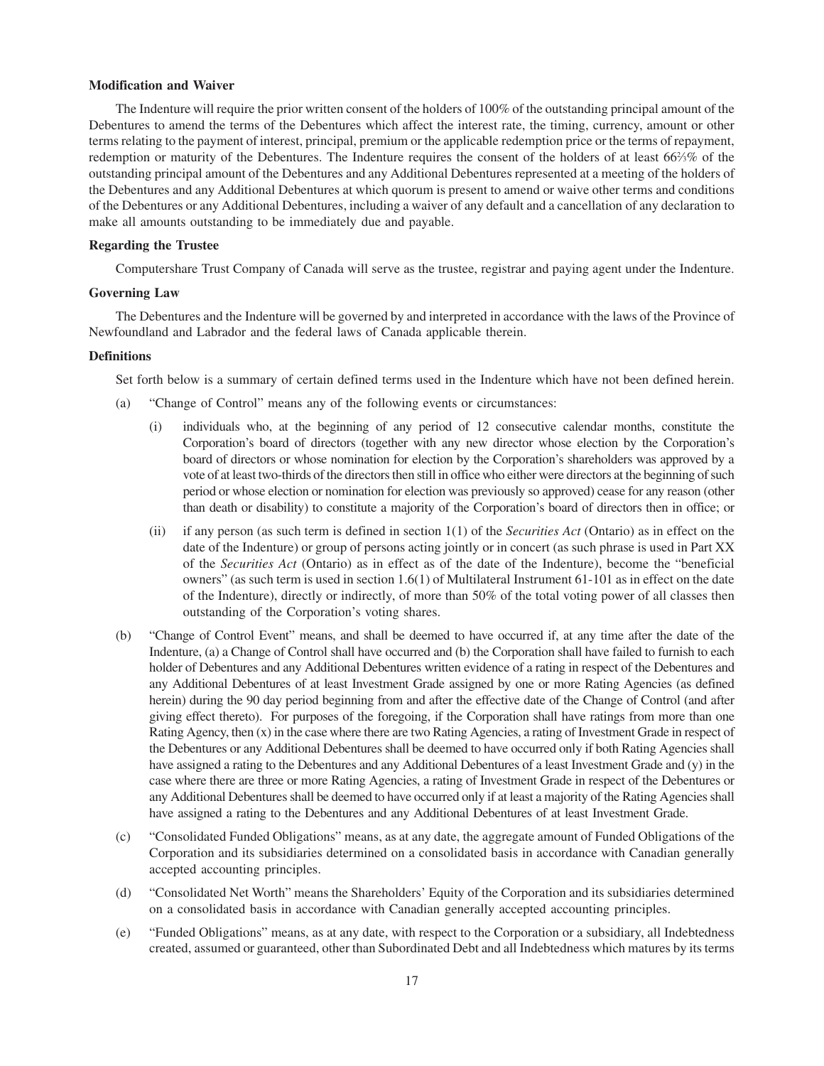#### **Modification and Waiver**

The Indenture will require the prior written consent of the holders of 100% of the outstanding principal amount of the Debentures to amend the terms of the Debentures which affect the interest rate, the timing, currency, amount or other terms relating to the payment of interest, principal, premium or the applicable redemption price or the terms of repayment, redemption or maturity of the Debentures. The Indenture requires the consent of the holders of at least 66%% of the outstanding principal amount of the Debentures and any Additional Debentures represented at a meeting of the holders of the Debentures and any Additional Debentures at which quorum is present to amend or waive other terms and conditions of the Debentures or any Additional Debentures, including a waiver of any default and a cancellation of any declaration to make all amounts outstanding to be immediately due and payable.

#### **Regarding the Trustee**

Computershare Trust Company of Canada will serve as the trustee, registrar and paying agent under the Indenture.

#### **Governing Law**

The Debentures and the Indenture will be governed by and interpreted in accordance with the laws of the Province of Newfoundland and Labrador and the federal laws of Canada applicable therein.

#### **Definitions**

Set forth below is a summary of certain defined terms used in the Indenture which have not been defined herein.

- (a) "Change of Control" means any of the following events or circumstances:
	- (i) individuals who, at the beginning of any period of 12 consecutive calendar months, constitute the Corporation's board of directors (together with any new director whose election by the Corporation's board of directors or whose nomination for election by the Corporation's shareholders was approved by a vote of at least two-thirds of the directors then still in office who either were directors at the beginning of such period or whose election or nomination for election was previously so approved) cease for any reason (other than death or disability) to constitute a majority of the Corporation's board of directors then in office; or
	- (ii) if any person (as such term is defined in section 1(1) of the *Securities Act* (Ontario) as in effect on the date of the Indenture) or group of persons acting jointly or in concert (as such phrase is used in Part XX of the *Securities Act* (Ontario) as in effect as of the date of the Indenture), become the "beneficial owners" (as such term is used in section 1.6(1) of Multilateral Instrument 61-101 as in effect on the date of the Indenture), directly or indirectly, of more than 50% of the total voting power of all classes then outstanding of the Corporation's voting shares.
- (b) "Change of Control Event" means, and shall be deemed to have occurred if, at any time after the date of the Indenture, (a) a Change of Control shall have occurred and (b) the Corporation shall have failed to furnish to each holder of Debentures and any Additional Debentures written evidence of a rating in respect of the Debentures and any Additional Debentures of at least Investment Grade assigned by one or more Rating Agencies (as defined herein) during the 90 day period beginning from and after the effective date of the Change of Control (and after giving effect thereto). For purposes of the foregoing, if the Corporation shall have ratings from more than one Rating Agency, then (x) in the case where there are two Rating Agencies, a rating of Investment Grade in respect of the Debentures or any Additional Debentures shall be deemed to have occurred only if both Rating Agencies shall have assigned a rating to the Debentures and any Additional Debentures of a least Investment Grade and (y) in the case where there are three or more Rating Agencies, a rating of Investment Grade in respect of the Debentures or any Additional Debentures shall be deemed to have occurred only if at least a majority of the Rating Agencies shall have assigned a rating to the Debentures and any Additional Debentures of at least Investment Grade.
- (c) "Consolidated Funded Obligations" means, as at any date, the aggregate amount of Funded Obligations of the Corporation and its subsidiaries determined on a consolidated basis in accordance with Canadian generally accepted accounting principles.
- (d) "Consolidated Net Worth" means the Shareholders' Equity of the Corporation and its subsidiaries determined on a consolidated basis in accordance with Canadian generally accepted accounting principles.
- (e) "Funded Obligations" means, as at any date, with respect to the Corporation or a subsidiary, all Indebtedness created, assumed or guaranteed, other than Subordinated Debt and all Indebtedness which matures by its terms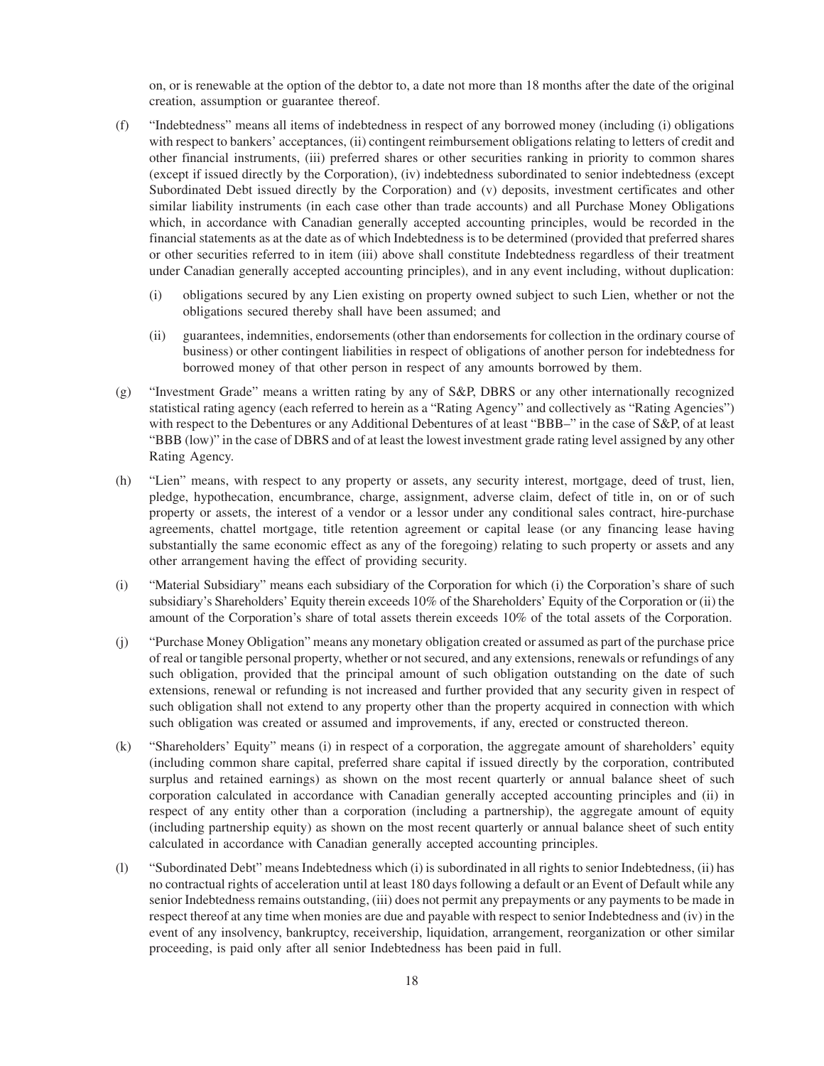on, or is renewable at the option of the debtor to, a date not more than 18 months after the date of the original creation, assumption or guarantee thereof.

- (f) "Indebtedness" means all items of indebtedness in respect of any borrowed money (including (i) obligations with respect to bankers' acceptances, (ii) contingent reimbursement obligations relating to letters of credit and other financial instruments, (iii) preferred shares or other securities ranking in priority to common shares (except if issued directly by the Corporation), (iv) indebtedness subordinated to senior indebtedness (except Subordinated Debt issued directly by the Corporation) and (v) deposits, investment certificates and other similar liability instruments (in each case other than trade accounts) and all Purchase Money Obligations which, in accordance with Canadian generally accepted accounting principles, would be recorded in the financial statements as at the date as of which Indebtedness is to be determined (provided that preferred shares or other securities referred to in item (iii) above shall constitute Indebtedness regardless of their treatment under Canadian generally accepted accounting principles), and in any event including, without duplication:
	- (i) obligations secured by any Lien existing on property owned subject to such Lien, whether or not the obligations secured thereby shall have been assumed; and
	- (ii) guarantees, indemnities, endorsements (other than endorsements for collection in the ordinary course of business) or other contingent liabilities in respect of obligations of another person for indebtedness for borrowed money of that other person in respect of any amounts borrowed by them.
- (g) "Investment Grade" means a written rating by any of S&P, DBRS or any other internationally recognized statistical rating agency (each referred to herein as a "Rating Agency" and collectively as "Rating Agencies") with respect to the Debentures or any Additional Debentures of at least "BBB–" in the case of S&P, of at least "BBB (low)" in the case of DBRS and of at least the lowest investment grade rating level assigned by any other Rating Agency.
- (h) "Lien" means, with respect to any property or assets, any security interest, mortgage, deed of trust, lien, pledge, hypothecation, encumbrance, charge, assignment, adverse claim, defect of title in, on or of such property or assets, the interest of a vendor or a lessor under any conditional sales contract, hire-purchase agreements, chattel mortgage, title retention agreement or capital lease (or any financing lease having substantially the same economic effect as any of the foregoing) relating to such property or assets and any other arrangement having the effect of providing security.
- (i) "Material Subsidiary" means each subsidiary of the Corporation for which (i) the Corporation's share of such subsidiary's Shareholders' Equity therein exceeds 10% of the Shareholders' Equity of the Corporation or (ii) the amount of the Corporation's share of total assets therein exceeds 10% of the total assets of the Corporation.
- (j) "Purchase Money Obligation" means any monetary obligation created or assumed as part of the purchase price of real or tangible personal property, whether or not secured, and any extensions, renewals or refundings of any such obligation, provided that the principal amount of such obligation outstanding on the date of such extensions, renewal or refunding is not increased and further provided that any security given in respect of such obligation shall not extend to any property other than the property acquired in connection with which such obligation was created or assumed and improvements, if any, erected or constructed thereon.
- (k) "Shareholders' Equity" means (i) in respect of a corporation, the aggregate amount of shareholders' equity (including common share capital, preferred share capital if issued directly by the corporation, contributed surplus and retained earnings) as shown on the most recent quarterly or annual balance sheet of such corporation calculated in accordance with Canadian generally accepted accounting principles and (ii) in respect of any entity other than a corporation (including a partnership), the aggregate amount of equity (including partnership equity) as shown on the most recent quarterly or annual balance sheet of such entity calculated in accordance with Canadian generally accepted accounting principles.
- (l) "Subordinated Debt" means Indebtedness which (i) is subordinated in all rights to senior Indebtedness, (ii) has no contractual rights of acceleration until at least 180 days following a default or an Event of Default while any senior Indebtedness remains outstanding, (iii) does not permit any prepayments or any payments to be made in respect thereof at any time when monies are due and payable with respect to senior Indebtedness and (iv) in the event of any insolvency, bankruptcy, receivership, liquidation, arrangement, reorganization or other similar proceeding, is paid only after all senior Indebtedness has been paid in full.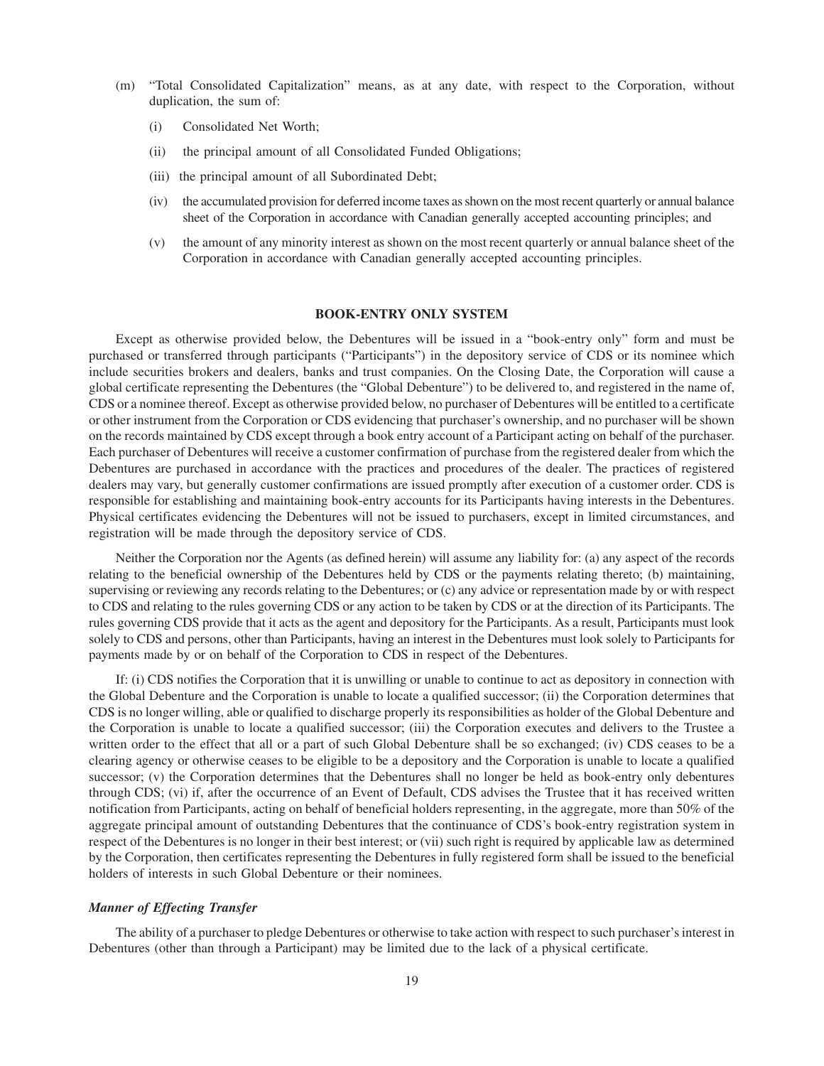- (m) "Total Consolidated Capitalization" means, as at any date, with respect to the Corporation, without duplication, the sum of:
	- (i) Consolidated Net Worth;
	- (ii) the principal amount of all Consolidated Funded Obligations;
	- (iii) the principal amount of all Subordinated Debt;
	- (iv) the accumulated provision for deferred income taxes as shown on the most recent quarterly or annual balance sheet of the Corporation in accordance with Canadian generally accepted accounting principles; and
	- (v) the amount of any minority interest as shown on the most recent quarterly or annual balance sheet of the Corporation in accordance with Canadian generally accepted accounting principles.

#### **BOOK-ENTRY ONLY SYSTEM**

Except as otherwise provided below, the Debentures will be issued in a "book-entry only" form and must be purchased or transferred through participants ("Participants") in the depository service of CDS or its nominee which include securities brokers and dealers, banks and trust companies. On the Closing Date, the Corporation will cause a global certificate representing the Debentures (the "Global Debenture") to be delivered to, and registered in the name of, CDS or a nominee thereof. Except as otherwise provided below, no purchaser of Debentures will be entitled to a certificate or other instrument from the Corporation or CDS evidencing that purchaser's ownership, and no purchaser will be shown on the records maintained by CDS except through a book entry account of a Participant acting on behalf of the purchaser. Each purchaser of Debentures will receive a customer confirmation of purchase from the registered dealer from which the Debentures are purchased in accordance with the practices and procedures of the dealer. The practices of registered dealers may vary, but generally customer confirmations are issued promptly after execution of a customer order. CDS is responsible for establishing and maintaining book-entry accounts for its Participants having interests in the Debentures. Physical certificates evidencing the Debentures will not be issued to purchasers, except in limited circumstances, and registration will be made through the depository service of CDS.

Neither the Corporation nor the Agents (as defined herein) will assume any liability for: (a) any aspect of the records relating to the beneficial ownership of the Debentures held by CDS or the payments relating thereto; (b) maintaining, supervising or reviewing any records relating to the Debentures; or (c) any advice or representation made by or with respect to CDS and relating to the rules governing CDS or any action to be taken by CDS or at the direction of its Participants. The rules governing CDS provide that it acts as the agent and depository for the Participants. As a result, Participants must look solely to CDS and persons, other than Participants, having an interest in the Debentures must look solely to Participants for payments made by or on behalf of the Corporation to CDS in respect of the Debentures.

If: (i) CDS notifies the Corporation that it is unwilling or unable to continue to act as depository in connection with the Global Debenture and the Corporation is unable to locate a qualified successor; (ii) the Corporation determines that CDS is no longer willing, able or qualified to discharge properly its responsibilities as holder of the Global Debenture and the Corporation is unable to locate a qualified successor; (iii) the Corporation executes and delivers to the Trustee a written order to the effect that all or a part of such Global Debenture shall be so exchanged; (iv) CDS ceases to be a clearing agency or otherwise ceases to be eligible to be a depository and the Corporation is unable to locate a qualified successor; (v) the Corporation determines that the Debentures shall no longer be held as book-entry only debentures through CDS; (vi) if, after the occurrence of an Event of Default, CDS advises the Trustee that it has received written notification from Participants, acting on behalf of beneficial holders representing, in the aggregate, more than 50% of the aggregate principal amount of outstanding Debentures that the continuance of CDS's book-entry registration system in respect of the Debentures is no longer in their best interest; or (vii) such right is required by applicable law as determined by the Corporation, then certificates representing the Debentures in fully registered form shall be issued to the beneficial holders of interests in such Global Debenture or their nominees.

#### *Manner of Effecting Transfer*

The ability of a purchaser to pledge Debentures or otherwise to take action with respect to such purchaser's interest in Debentures (other than through a Participant) may be limited due to the lack of a physical certificate.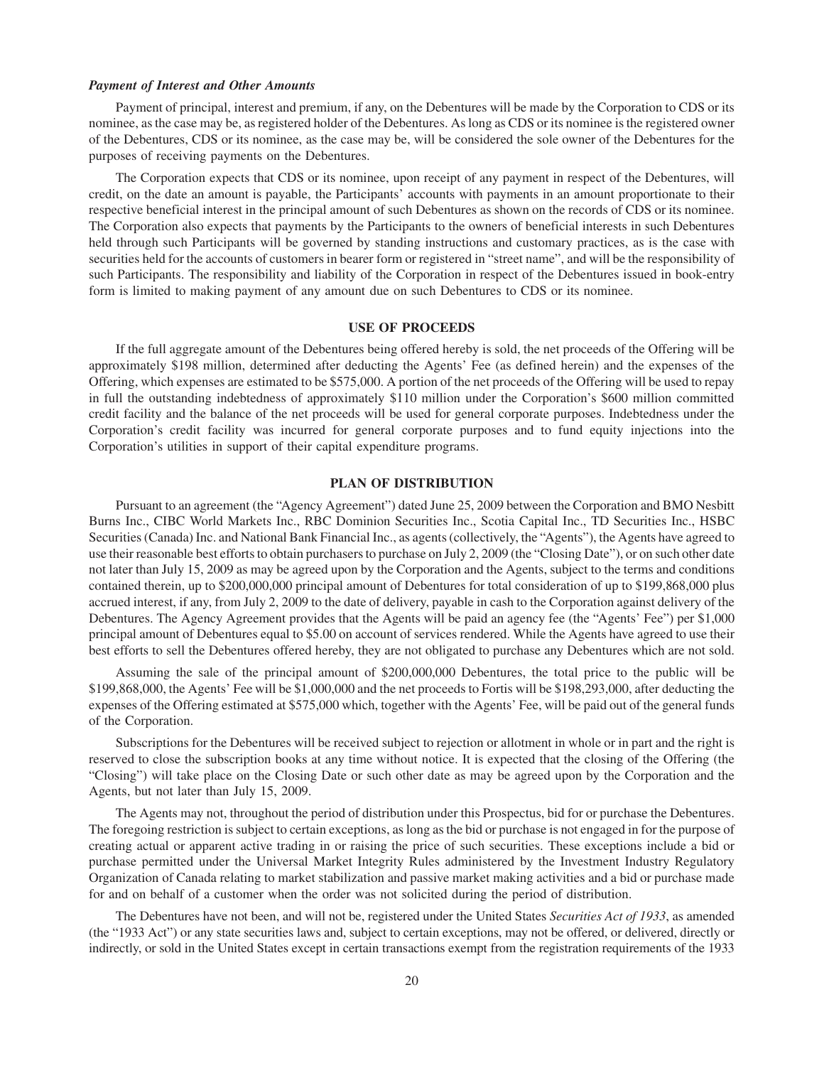#### *Payment of Interest and Other Amounts*

Payment of principal, interest and premium, if any, on the Debentures will be made by the Corporation to CDS or its nominee, as the case may be, as registered holder of the Debentures. As long as CDS or its nominee is the registered owner of the Debentures, CDS or its nominee, as the case may be, will be considered the sole owner of the Debentures for the purposes of receiving payments on the Debentures.

The Corporation expects that CDS or its nominee, upon receipt of any payment in respect of the Debentures, will credit, on the date an amount is payable, the Participants' accounts with payments in an amount proportionate to their respective beneficial interest in the principal amount of such Debentures as shown on the records of CDS or its nominee. The Corporation also expects that payments by the Participants to the owners of beneficial interests in such Debentures held through such Participants will be governed by standing instructions and customary practices, as is the case with securities held for the accounts of customers in bearer form or registered in "street name", and will be the responsibility of such Participants. The responsibility and liability of the Corporation in respect of the Debentures issued in book-entry form is limited to making payment of any amount due on such Debentures to CDS or its nominee.

#### **USE OF PROCEEDS**

If the full aggregate amount of the Debentures being offered hereby is sold, the net proceeds of the Offering will be approximately \$198 million, determined after deducting the Agents' Fee (as defined herein) and the expenses of the Offering, which expenses are estimated to be \$575,000. A portion of the net proceeds of the Offering will be used to repay in full the outstanding indebtedness of approximately \$110 million under the Corporation's \$600 million committed credit facility and the balance of the net proceeds will be used for general corporate purposes. Indebtedness under the Corporation's credit facility was incurred for general corporate purposes and to fund equity injections into the Corporation's utilities in support of their capital expenditure programs.

#### **PLAN OF DISTRIBUTION**

Pursuant to an agreement (the "Agency Agreement") dated June 25, 2009 between the Corporation and BMO Nesbitt Burns Inc., CIBC World Markets Inc., RBC Dominion Securities Inc., Scotia Capital Inc., TD Securities Inc., HSBC Securities (Canada) Inc. and National Bank Financial Inc., as agents (collectively, the "Agents"), the Agents have agreed to use their reasonable best efforts to obtain purchasers to purchase on July 2, 2009 (the "Closing Date"), or on such other date not later than July 15, 2009 as may be agreed upon by the Corporation and the Agents, subject to the terms and conditions contained therein, up to \$200,000,000 principal amount of Debentures for total consideration of up to \$199,868,000 plus accrued interest, if any, from July 2, 2009 to the date of delivery, payable in cash to the Corporation against delivery of the Debentures. The Agency Agreement provides that the Agents will be paid an agency fee (the "Agents' Fee") per \$1,000 principal amount of Debentures equal to \$5.00 on account of services rendered. While the Agents have agreed to use their best efforts to sell the Debentures offered hereby, they are not obligated to purchase any Debentures which are not sold.

Assuming the sale of the principal amount of \$200,000,000 Debentures, the total price to the public will be \$199,868,000, the Agents' Fee will be \$1,000,000 and the net proceeds to Fortis will be \$198,293,000, after deducting the expenses of the Offering estimated at \$575,000 which, together with the Agents' Fee, will be paid out of the general funds of the Corporation.

Subscriptions for the Debentures will be received subject to rejection or allotment in whole or in part and the right is reserved to close the subscription books at any time without notice. It is expected that the closing of the Offering (the "Closing") will take place on the Closing Date or such other date as may be agreed upon by the Corporation and the Agents, but not later than July 15, 2009.

The Agents may not, throughout the period of distribution under this Prospectus, bid for or purchase the Debentures. The foregoing restriction is subject to certain exceptions, as long as the bid or purchase is not engaged in for the purpose of creating actual or apparent active trading in or raising the price of such securities. These exceptions include a bid or purchase permitted under the Universal Market Integrity Rules administered by the Investment Industry Regulatory Organization of Canada relating to market stabilization and passive market making activities and a bid or purchase made for and on behalf of a customer when the order was not solicited during the period of distribution.

The Debentures have not been, and will not be, registered under the United States *Securities Act of 1933*, as amended (the "1933 Act") or any state securities laws and, subject to certain exceptions, may not be offered, or delivered, directly or indirectly, or sold in the United States except in certain transactions exempt from the registration requirements of the 1933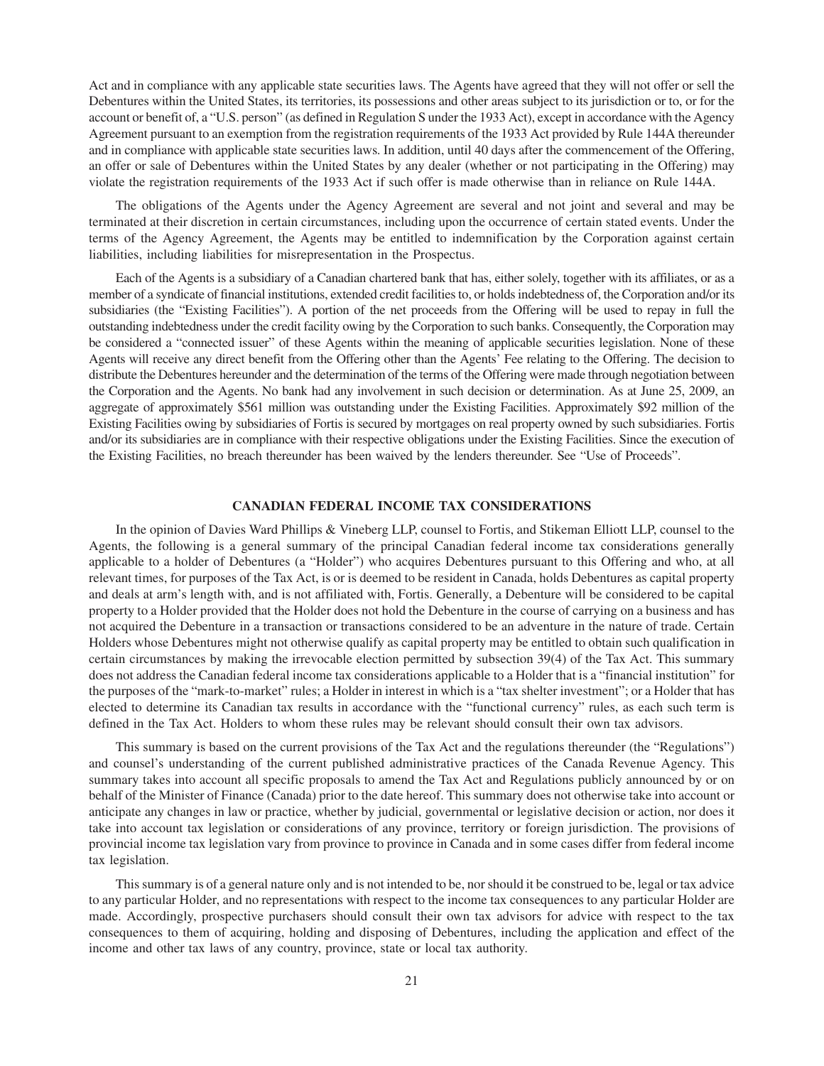Act and in compliance with any applicable state securities laws. The Agents have agreed that they will not offer or sell the Debentures within the United States, its territories, its possessions and other areas subject to its jurisdiction or to, or for the account or benefit of, a "U.S. person" (as defined in Regulation S under the 1933 Act), except in accordance with the Agency Agreement pursuant to an exemption from the registration requirements of the 1933 Act provided by Rule 144A thereunder and in compliance with applicable state securities laws. In addition, until 40 days after the commencement of the Offering, an offer or sale of Debentures within the United States by any dealer (whether or not participating in the Offering) may violate the registration requirements of the 1933 Act if such offer is made otherwise than in reliance on Rule 144A.

The obligations of the Agents under the Agency Agreement are several and not joint and several and may be terminated at their discretion in certain circumstances, including upon the occurrence of certain stated events. Under the terms of the Agency Agreement, the Agents may be entitled to indemnification by the Corporation against certain liabilities, including liabilities for misrepresentation in the Prospectus.

Each of the Agents is a subsidiary of a Canadian chartered bank that has, either solely, together with its affiliates, or as a member of a syndicate of financial institutions, extended credit facilities to, or holds indebtedness of, the Corporation and/or its subsidiaries (the "Existing Facilities"). A portion of the net proceeds from the Offering will be used to repay in full the outstanding indebtedness under the credit facility owing by the Corporation to such banks. Consequently, the Corporation may be considered a "connected issuer" of these Agents within the meaning of applicable securities legislation. None of these Agents will receive any direct benefit from the Offering other than the Agents' Fee relating to the Offering. The decision to distribute the Debentures hereunder and the determination of the terms of the Offering were made through negotiation between the Corporation and the Agents. No bank had any involvement in such decision or determination. As at June 25, 2009, an aggregate of approximately \$561 million was outstanding under the Existing Facilities. Approximately \$92 million of the Existing Facilities owing by subsidiaries of Fortis is secured by mortgages on real property owned by such subsidiaries. Fortis and/or its subsidiaries are in compliance with their respective obligations under the Existing Facilities. Since the execution of the Existing Facilities, no breach thereunder has been waived by the lenders thereunder. See "Use of Proceeds".

#### **CANADIAN FEDERAL INCOME TAX CONSIDERATIONS**

In the opinion of Davies Ward Phillips & Vineberg LLP, counsel to Fortis, and Stikeman Elliott LLP, counsel to the Agents, the following is a general summary of the principal Canadian federal income tax considerations generally applicable to a holder of Debentures (a "Holder") who acquires Debentures pursuant to this Offering and who, at all relevant times, for purposes of the Tax Act, is or is deemed to be resident in Canada, holds Debentures as capital property and deals at arm's length with, and is not affiliated with, Fortis. Generally, a Debenture will be considered to be capital property to a Holder provided that the Holder does not hold the Debenture in the course of carrying on a business and has not acquired the Debenture in a transaction or transactions considered to be an adventure in the nature of trade. Certain Holders whose Debentures might not otherwise qualify as capital property may be entitled to obtain such qualification in certain circumstances by making the irrevocable election permitted by subsection 39(4) of the Tax Act. This summary does not address the Canadian federal income tax considerations applicable to a Holder that is a "financial institution" for the purposes of the "mark-to-market" rules; a Holder in interest in which is a "tax shelter investment"; or a Holder that has elected to determine its Canadian tax results in accordance with the "functional currency" rules, as each such term is defined in the Tax Act. Holders to whom these rules may be relevant should consult their own tax advisors.

This summary is based on the current provisions of the Tax Act and the regulations thereunder (the "Regulations") and counsel's understanding of the current published administrative practices of the Canada Revenue Agency. This summary takes into account all specific proposals to amend the Tax Act and Regulations publicly announced by or on behalf of the Minister of Finance (Canada) prior to the date hereof. This summary does not otherwise take into account or anticipate any changes in law or practice, whether by judicial, governmental or legislative decision or action, nor does it take into account tax legislation or considerations of any province, territory or foreign jurisdiction. The provisions of provincial income tax legislation vary from province to province in Canada and in some cases differ from federal income tax legislation.

This summary is of a general nature only and is not intended to be, nor should it be construed to be, legal or tax advice to any particular Holder, and no representations with respect to the income tax consequences to any particular Holder are made. Accordingly, prospective purchasers should consult their own tax advisors for advice with respect to the tax consequences to them of acquiring, holding and disposing of Debentures, including the application and effect of the income and other tax laws of any country, province, state or local tax authority.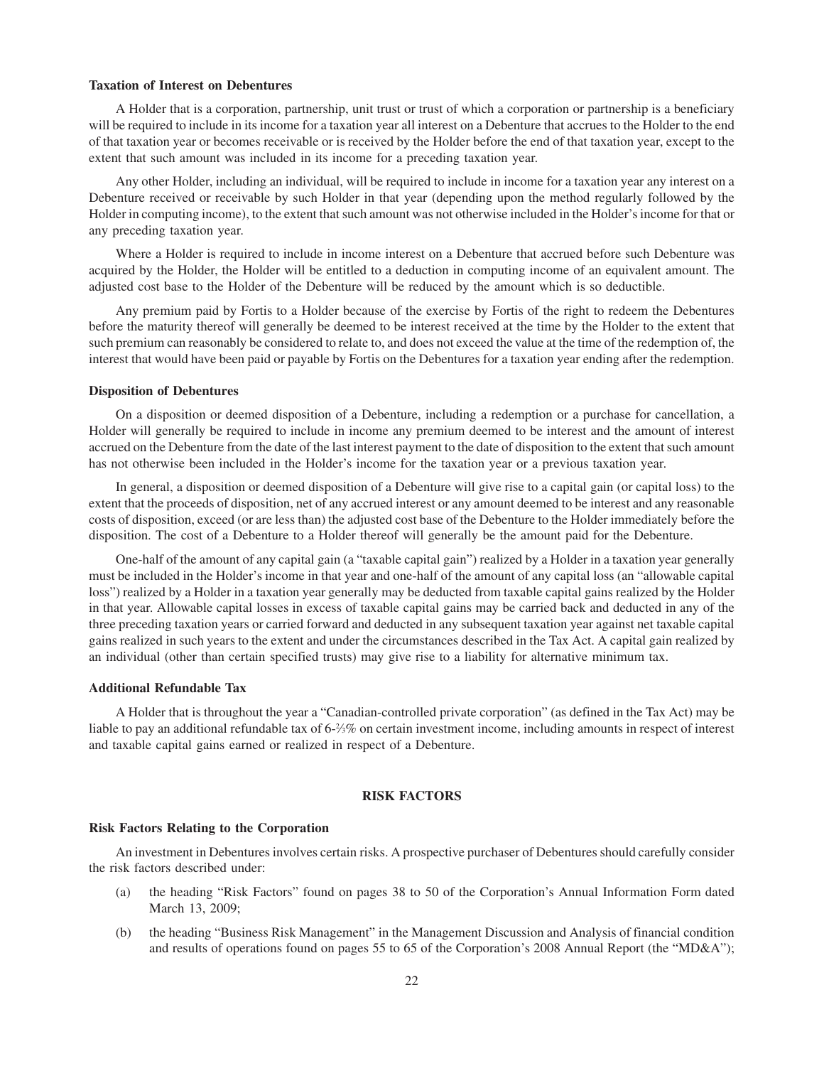#### **Taxation of Interest on Debentures**

A Holder that is a corporation, partnership, unit trust or trust of which a corporation or partnership is a beneficiary will be required to include in its income for a taxation year all interest on a Debenture that accrues to the Holder to the end of that taxation year or becomes receivable or is received by the Holder before the end of that taxation year, except to the extent that such amount was included in its income for a preceding taxation year.

Any other Holder, including an individual, will be required to include in income for a taxation year any interest on a Debenture received or receivable by such Holder in that year (depending upon the method regularly followed by the Holder in computing income), to the extent that such amount was not otherwise included in the Holder's income for that or any preceding taxation year.

Where a Holder is required to include in income interest on a Debenture that accrued before such Debenture was acquired by the Holder, the Holder will be entitled to a deduction in computing income of an equivalent amount. The adjusted cost base to the Holder of the Debenture will be reduced by the amount which is so deductible.

Any premium paid by Fortis to a Holder because of the exercise by Fortis of the right to redeem the Debentures before the maturity thereof will generally be deemed to be interest received at the time by the Holder to the extent that such premium can reasonably be considered to relate to, and does not exceed the value at the time of the redemption of, the interest that would have been paid or payable by Fortis on the Debentures for a taxation year ending after the redemption.

#### **Disposition of Debentures**

On a disposition or deemed disposition of a Debenture, including a redemption or a purchase for cancellation, a Holder will generally be required to include in income any premium deemed to be interest and the amount of interest accrued on the Debenture from the date of the last interest payment to the date of disposition to the extent that such amount has not otherwise been included in the Holder's income for the taxation year or a previous taxation year.

In general, a disposition or deemed disposition of a Debenture will give rise to a capital gain (or capital loss) to the extent that the proceeds of disposition, net of any accrued interest or any amount deemed to be interest and any reasonable costs of disposition, exceed (or are less than) the adjusted cost base of the Debenture to the Holder immediately before the disposition. The cost of a Debenture to a Holder thereof will generally be the amount paid for the Debenture.

One-half of the amount of any capital gain (a "taxable capital gain") realized by a Holder in a taxation year generally must be included in the Holder's income in that year and one-half of the amount of any capital loss (an "allowable capital loss") realized by a Holder in a taxation year generally may be deducted from taxable capital gains realized by the Holder in that year. Allowable capital losses in excess of taxable capital gains may be carried back and deducted in any of the three preceding taxation years or carried forward and deducted in any subsequent taxation year against net taxable capital gains realized in such years to the extent and under the circumstances described in the Tax Act. A capital gain realized by an individual (other than certain specified trusts) may give rise to a liability for alternative minimum tax.

#### **Additional Refundable Tax**

A Holder that is throughout the year a "Canadian-controlled private corporation" (as defined in the Tax Act) may be liable to pay an additional refundable tax of 6- $\frac{2}{3}$ % on certain investment income, including amounts in respect of interest and taxable capital gains earned or realized in respect of a Debenture.

#### **RISK FACTORS**

#### **Risk Factors Relating to the Corporation**

An investment in Debentures involves certain risks. A prospective purchaser of Debentures should carefully consider the risk factors described under:

- (a) the heading "Risk Factors" found on pages 38 to 50 of the Corporation's Annual Information Form dated March 13, 2009;
- (b) the heading "Business Risk Management" in the Management Discussion and Analysis of financial condition and results of operations found on pages 55 to 65 of the Corporation's 2008 Annual Report (the "MD&A");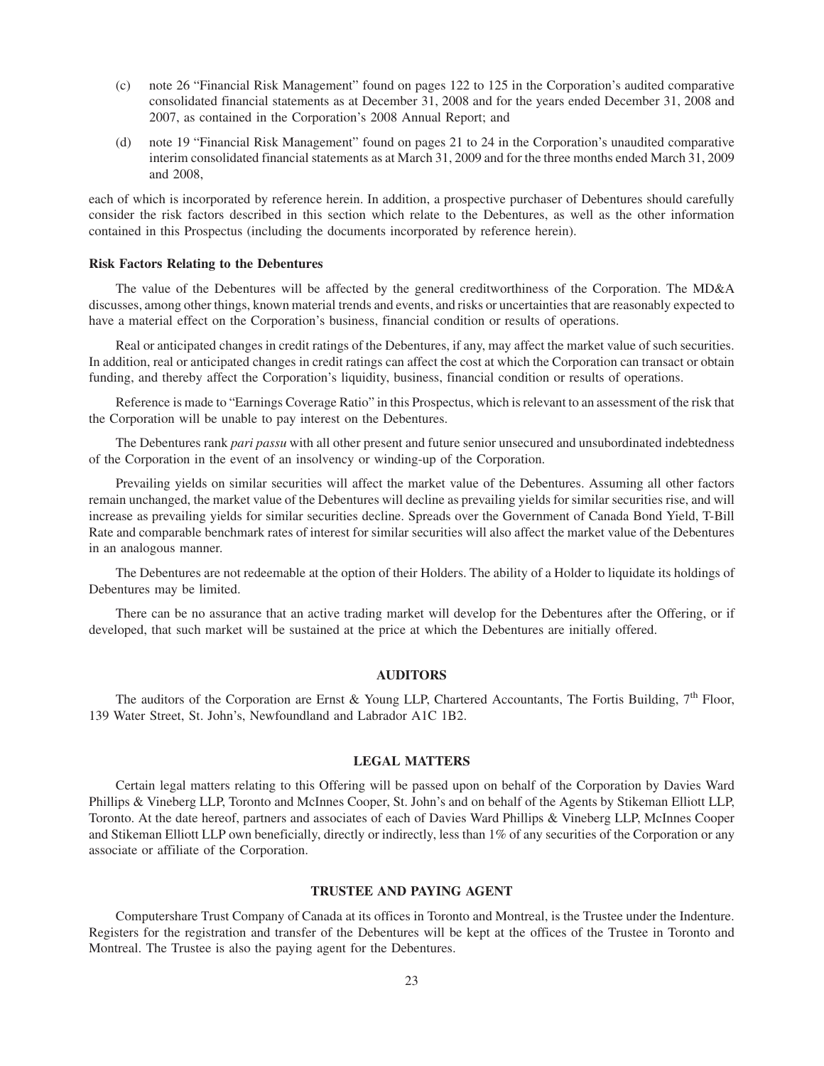- (c) note 26 "Financial Risk Management" found on pages 122 to 125 in the Corporation's audited comparative consolidated financial statements as at December 31, 2008 and for the years ended December 31, 2008 and 2007, as contained in the Corporation's 2008 Annual Report; and
- (d) note 19 "Financial Risk Management" found on pages 21 to 24 in the Corporation's unaudited comparative interim consolidated financial statements as at March 31, 2009 and for the three months ended March 31, 2009 and 2008,

each of which is incorporated by reference herein. In addition, a prospective purchaser of Debentures should carefully consider the risk factors described in this section which relate to the Debentures, as well as the other information contained in this Prospectus (including the documents incorporated by reference herein).

#### **Risk Factors Relating to the Debentures**

The value of the Debentures will be affected by the general creditworthiness of the Corporation. The MD&A discusses, among other things, known material trends and events, and risks or uncertainties that are reasonably expected to have a material effect on the Corporation's business, financial condition or results of operations.

Real or anticipated changes in credit ratings of the Debentures, if any, may affect the market value of such securities. In addition, real or anticipated changes in credit ratings can affect the cost at which the Corporation can transact or obtain funding, and thereby affect the Corporation's liquidity, business, financial condition or results of operations.

Reference is made to "Earnings Coverage Ratio" in this Prospectus, which is relevant to an assessment of the risk that the Corporation will be unable to pay interest on the Debentures.

The Debentures rank *pari passu* with all other present and future senior unsecured and unsubordinated indebtedness of the Corporation in the event of an insolvency or winding-up of the Corporation.

Prevailing yields on similar securities will affect the market value of the Debentures. Assuming all other factors remain unchanged, the market value of the Debentures will decline as prevailing yields for similar securities rise, and will increase as prevailing yields for similar securities decline. Spreads over the Government of Canada Bond Yield, T-Bill Rate and comparable benchmark rates of interest for similar securities will also affect the market value of the Debentures in an analogous manner.

The Debentures are not redeemable at the option of their Holders. The ability of a Holder to liquidate its holdings of Debentures may be limited.

There can be no assurance that an active trading market will develop for the Debentures after the Offering, or if developed, that such market will be sustained at the price at which the Debentures are initially offered.

#### **AUDITORS**

The auditors of the Corporation are Ernst & Young LLP, Chartered Accountants, The Fortis Building,  $7<sup>th</sup>$  Floor, 139 Water Street, St. John's, Newfoundland and Labrador A1C 1B2.

#### **LEGAL MATTERS**

Certain legal matters relating to this Offering will be passed upon on behalf of the Corporation by Davies Ward Phillips & Vineberg LLP, Toronto and McInnes Cooper, St. John's and on behalf of the Agents by Stikeman Elliott LLP, Toronto. At the date hereof, partners and associates of each of Davies Ward Phillips & Vineberg LLP, McInnes Cooper and Stikeman Elliott LLP own beneficially, directly or indirectly, less than 1% of any securities of the Corporation or any associate or affiliate of the Corporation.

#### **TRUSTEE AND PAYING AGENT**

Computershare Trust Company of Canada at its offices in Toronto and Montreal, is the Trustee under the Indenture. Registers for the registration and transfer of the Debentures will be kept at the offices of the Trustee in Toronto and Montreal. The Trustee is also the paying agent for the Debentures.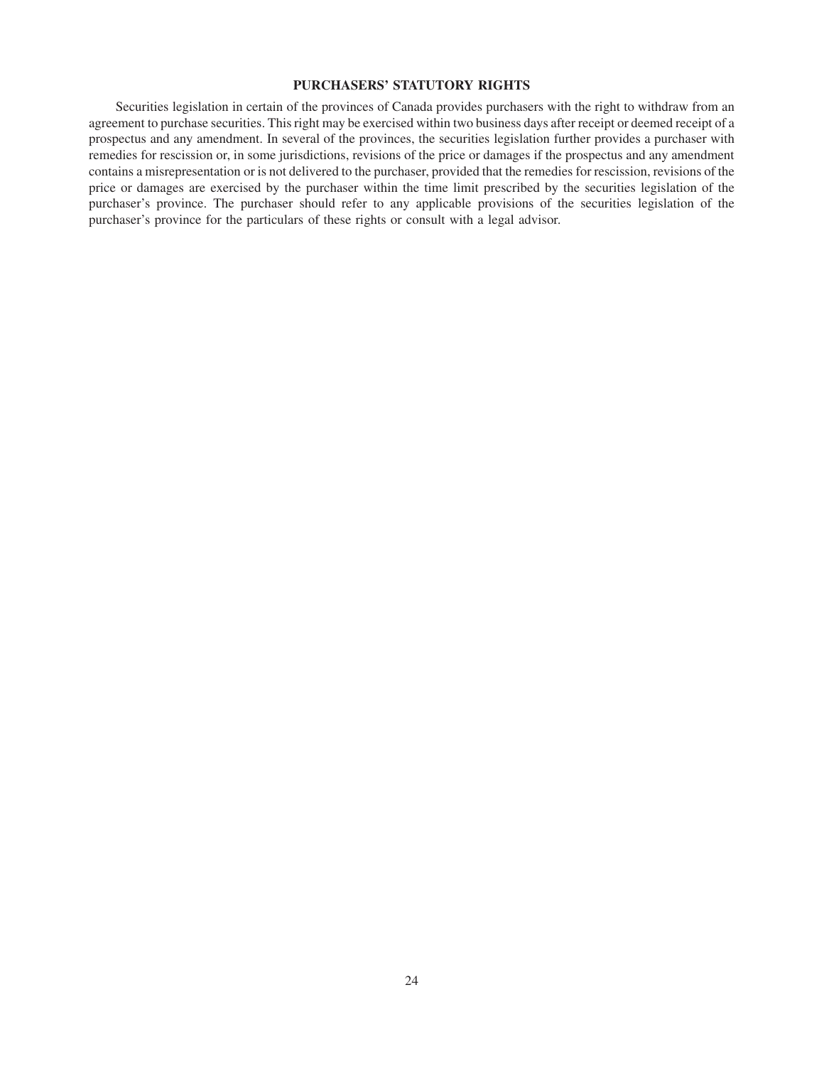#### **PURCHASERS' STATUTORY RIGHTS**

Securities legislation in certain of the provinces of Canada provides purchasers with the right to withdraw from an agreement to purchase securities. This right may be exercised within two business days after receipt or deemed receipt of a prospectus and any amendment. In several of the provinces, the securities legislation further provides a purchaser with remedies for rescission or, in some jurisdictions, revisions of the price or damages if the prospectus and any amendment contains a misrepresentation or is not delivered to the purchaser, provided that the remedies for rescission, revisions of the price or damages are exercised by the purchaser within the time limit prescribed by the securities legislation of the purchaser's province. The purchaser should refer to any applicable provisions of the securities legislation of the purchaser's province for the particulars of these rights or consult with a legal advisor.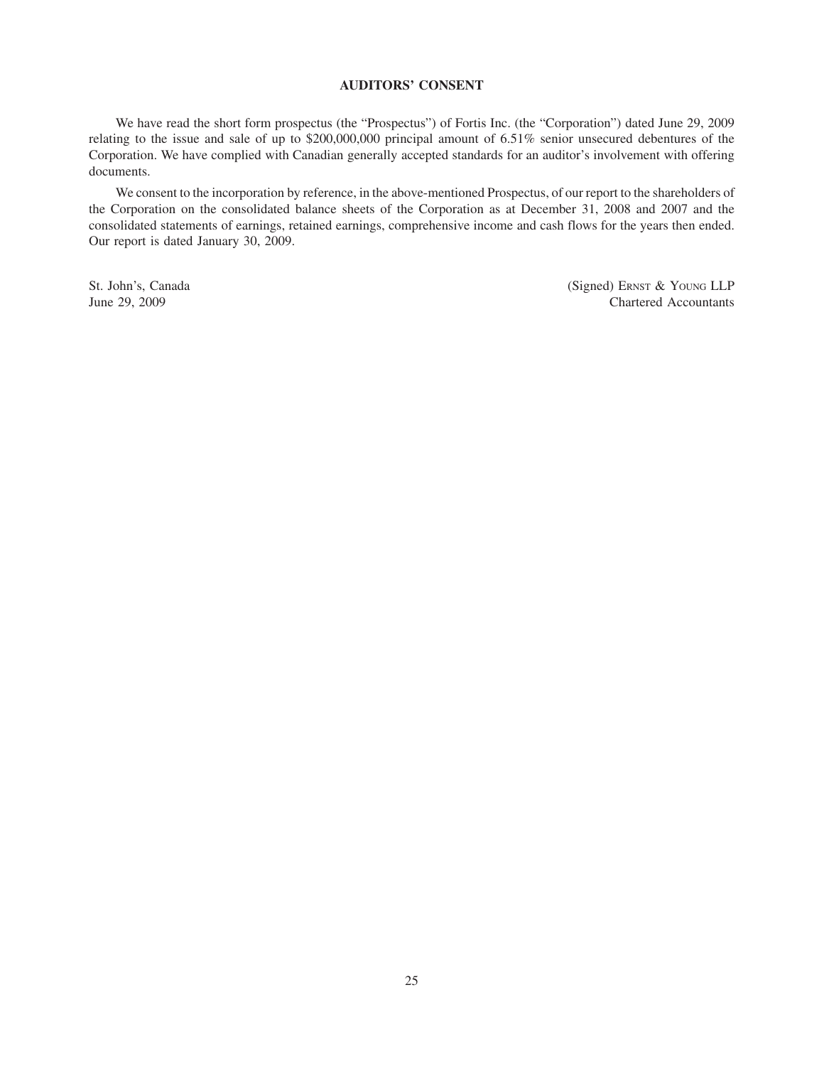#### **AUDITORS' CONSENT**

We have read the short form prospectus (the "Prospectus") of Fortis Inc. (the "Corporation") dated June 29, 2009 relating to the issue and sale of up to \$200,000,000 principal amount of 6.51% senior unsecured debentures of the Corporation. We have complied with Canadian generally accepted standards for an auditor's involvement with offering documents.

We consent to the incorporation by reference, in the above-mentioned Prospectus, of our report to the shareholders of the Corporation on the consolidated balance sheets of the Corporation as at December 31, 2008 and 2007 and the consolidated statements of earnings, retained earnings, comprehensive income and cash flows for the years then ended. Our report is dated January 30, 2009.

St. John's, Canada (Signed) ERNST & YOUNG LLP June 29, 2009 Chartered Accountants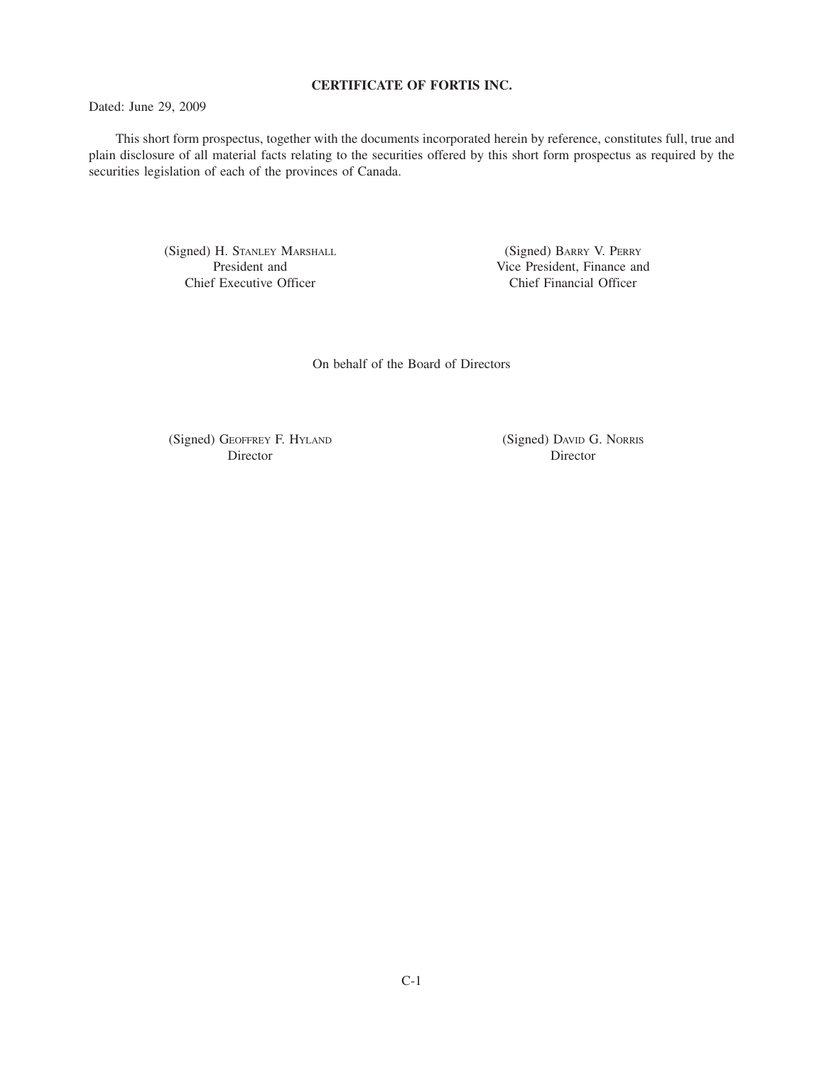#### **CERTIFICATE OF FORTIS INC.**

Dated: June 29, 2009

This short form prospectus, together with the documents incorporated herein by reference, constitutes full, true and plain disclosure of all material facts relating to the securities offered by this short form prospectus as required by the securities legislation of each of the provinces of Canada.

> (Signed) H. STANLEY MARSHALL President and Chief Executive Officer

(Signed) BARRY V. PERRY Vice President, Finance and Chief Financial Officer

On behalf of the Board of Directors

(Signed) GEOFFREY F. HYLAND Director

(Signed) DAVID G. NORRIS Director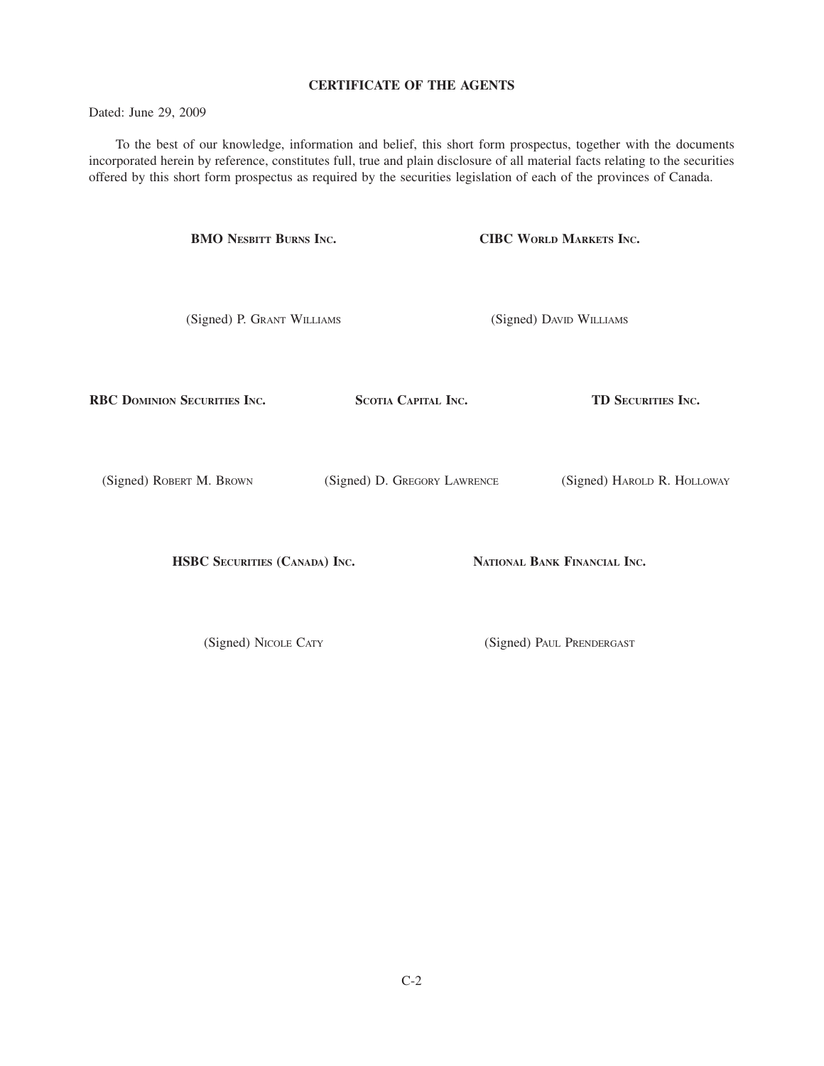#### **CERTIFICATE OF THE AGENTS**

Dated: June 29, 2009

To the best of our knowledge, information and belief, this short form prospectus, together with the documents incorporated herein by reference, constitutes full, true and plain disclosure of all material facts relating to the securities offered by this short form prospectus as required by the securities legislation of each of the provinces of Canada.

> **BMO NESBITT BURNS INC.** (Signed) P. GRANT WILLIAMS **CIBC WORLD MARKETS INC.** (Signed) DAVID WILLIAMS

**RBC DOMINION SECURITIES INC.**

**SCOTIA CAPITAL INC.**

**TD SECURITIES INC.**

(Signed) ROBERT M. BROWN

(Signed) D. GREGORY LAWRENCE

(Signed) HAROLD R. HOLLOWAY

**HSBC SECURITIES (CANADA) INC.**

**NATIONAL BANK FINANCIAL INC.**

(Signed) NICOLE CATY

(Signed) PAUL PRENDERGAST